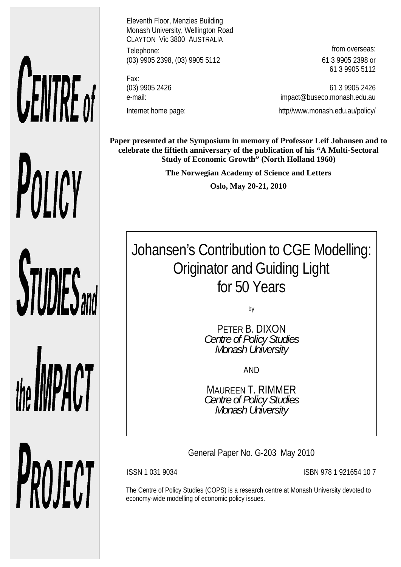# CENTRE of POLICY

**STUDIES** and the **IMPACT** PROJECT

Eleventh Floor, Menzies Building Monash University, Wellington Road CLAYTON Vic 3800 AUSTRALIA Telephone: **from overseas: from overseas:** (03) 9905 2398, (03) 9905 5112 61 3 9905 2398 or

Fax:

61 3 9905 5112

(03) 9905 2426 61 3 9905 2426 e-mail: impact@buseco.monash.edu.au

Internet home page: http://www.monash.edu.au/policy/

**Paper presented at the Symposium in memory of Professor Leif Johansen and to celebrate the fiftieth anniversary of the publication of his "A Multi-Sectoral Study of Economic Growth" (North Holland 1960)** 

**The Norwegian Academy of Science and Letters** 

**Oslo, May 20-21, 2010** 

# Johansen's Contribution to CGE Modelling: Originator and Guiding Light for 50 Years

by

PETER B. DIXON *Centre of Policy Studies Monash University* 

AND

MAUREEN T. RIMMER *Centre of Policy Studies Monash University* 

General Paper No. G-203 May 2010

ISSN 1 031 9034 ISBN 978 1 921654 10 7

The Centre of Policy Studies (COPS) is a research centre at Monash University devoted to economy-wide modelling of economic policy issues.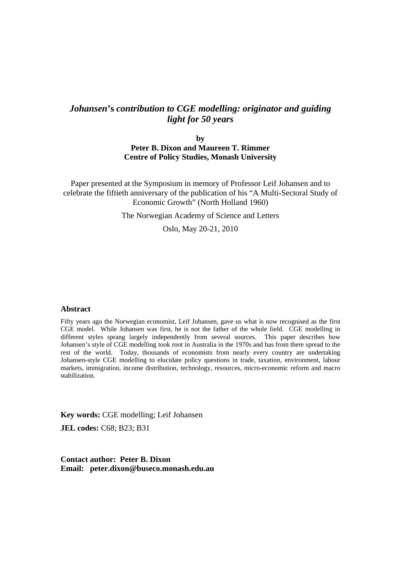## *Johansen***'s** *contribution to CGE modelling: originator and guiding light for 50 years*

**by Peter B. Dixon and Maureen T. Rimmer Centre of Policy Studies, Monash University** 

Paper presented at the Symposium in memory of Professor Leif Johansen and to celebrate the fiftieth anniversary of the publication of his "A Multi-Sectoral Study of Economic Growth" (North Holland 1960)

The Norwegian Academy of Science and Letters

Oslo, May 20-21, 2010

#### **Abstract**

Fifty years ago the Norwegian economist, Leif Johansen, gave us what is now recognised as the first CGE model. While Johansen was first, he is not the father of the whole field. CGE modelling in different styles sprang largely independently from several sources. This paper describes how Johansen's style of CGE modelling took root in Australia in the 1970s and has from there spread to the rest of the world. Today, thousands of economists from nearly every country are undertaking Johansen-style CGE modelling to elucidate policy questions in trade, taxation, environment, labour markets, immigration, income distribution, technology, resources, micro-economic reform and macro stabilization.

**Key words:** CGE modelling; Leif Johansen

**JEL codes:** C68; B23; B31

**Contact author: Peter B. Dixon Email: peter.dixon@buseco.monash.edu.au**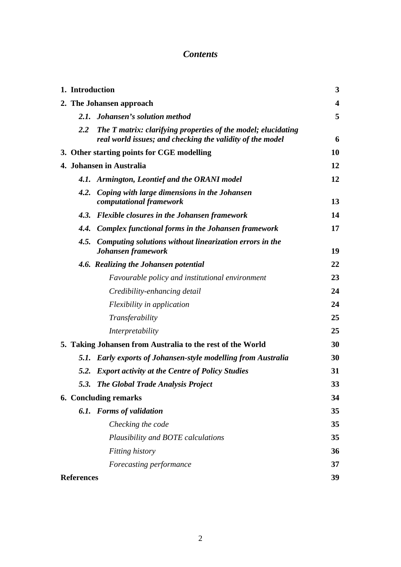# *Contents*

|  | 1. Introduction                                            |                                                                                                                            |    |  |  |  |
|--|------------------------------------------------------------|----------------------------------------------------------------------------------------------------------------------------|----|--|--|--|
|  | 2. The Johansen approach                                   |                                                                                                                            |    |  |  |  |
|  |                                                            | 2.1. Johansen's solution method                                                                                            | 5  |  |  |  |
|  | 2.2                                                        | The T matrix: clarifying properties of the model; elucidating<br>real world issues; and checking the validity of the model | 6  |  |  |  |
|  |                                                            | 3. Other starting points for CGE modelling                                                                                 | 10 |  |  |  |
|  | 4. Johansen in Australia                                   |                                                                                                                            |    |  |  |  |
|  |                                                            | 4.1. Armington, Leontief and the ORANI model                                                                               | 12 |  |  |  |
|  |                                                            | 4.2. Coping with large dimensions in the Johansen<br>computational framework                                               | 13 |  |  |  |
|  |                                                            | 4.3. Flexible closures in the Johansen framework                                                                           | 14 |  |  |  |
|  |                                                            | 4.4. Complex functional forms in the Johansen framework                                                                    | 17 |  |  |  |
|  | 4.5.                                                       | Computing solutions without linearization errors in the<br>Johansen framework                                              | 19 |  |  |  |
|  |                                                            | 4.6. Realizing the Johansen potential                                                                                      | 22 |  |  |  |
|  |                                                            | Favourable policy and institutional environment                                                                            | 23 |  |  |  |
|  |                                                            | Credibility-enhancing detail                                                                                               | 24 |  |  |  |
|  |                                                            | Flexibility in application                                                                                                 | 24 |  |  |  |
|  |                                                            | Transferability                                                                                                            | 25 |  |  |  |
|  |                                                            | Interpretability                                                                                                           | 25 |  |  |  |
|  | 5. Taking Johansen from Australia to the rest of the World |                                                                                                                            |    |  |  |  |
|  |                                                            | 5.1. Early exports of Johansen-style modelling from Australia                                                              | 30 |  |  |  |
|  |                                                            | 5.2. Export activity at the Centre of Policy Studies                                                                       | 31 |  |  |  |
|  |                                                            | 5.3. The Global Trade Analysis Project                                                                                     | 33 |  |  |  |
|  | <b>6. Concluding remarks</b>                               |                                                                                                                            |    |  |  |  |
|  |                                                            | 6.1. Forms of validation                                                                                                   | 35 |  |  |  |
|  |                                                            | Checking the code                                                                                                          | 35 |  |  |  |
|  |                                                            | Plausibility and BOTE calculations                                                                                         | 35 |  |  |  |
|  |                                                            | Fitting history                                                                                                            | 36 |  |  |  |
|  |                                                            | Forecasting performance                                                                                                    | 37 |  |  |  |
|  | <b>References</b>                                          |                                                                                                                            |    |  |  |  |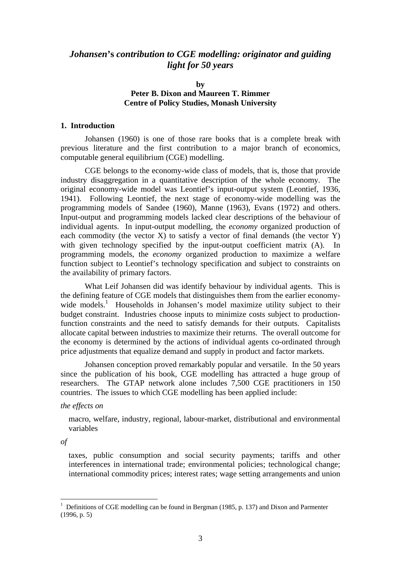### *Johansen***'s** *contribution to CGE modelling: originator and guiding light for 50 years*

#### **by Peter B. Dixon and Maureen T. Rimmer Centre of Policy Studies, Monash University**

#### **1. Introduction**

 Johansen (1960) is one of those rare books that is a complete break with previous literature and the first contribution to a major branch of economics, computable general equilibrium (CGE) modelling.

 CGE belongs to the economy-wide class of models, that is, those that provide industry disaggregation in a quantitative description of the whole economy. The original economy-wide model was Leontief's input-output system (Leontief, 1936, 1941). Following Leontief, the next stage of economy-wide modelling was the programming models of Sandee (1960), Manne (1963), Evans (1972) and others. Input-output and programming models lacked clear descriptions of the behaviour of individual agents. In input-output modelling, the *economy* organized production of each commodity (the vector  $X$ ) to satisfy a vector of final demands (the vector  $Y$ ) with given technology specified by the input-output coefficient matrix (A). In programming models, the *economy* organized production to maximize a welfare function subject to Leontief's technology specification and subject to constraints on the availability of primary factors.

 What Leif Johansen did was identify behaviour by individual agents. This is the defining feature of CGE models that distinguishes them from the earlier economywide models.<sup>1</sup> Households in Johansen's model maximize utility subject to their budget constraint. Industries choose inputs to minimize costs subject to productionfunction constraints and the need to satisfy demands for their outputs. Capitalists allocate capital between industries to maximize their returns. The overall outcome for the economy is determined by the actions of individual agents co-ordinated through price adjustments that equalize demand and supply in product and factor markets.

Johansen conception proved remarkably popular and versatile. In the 50 years since the publication of his book, CGE modelling has attracted a huge group of researchers. The GTAP network alone includes 7,500 CGE practitioners in 150 countries. The issues to which CGE modelling has been applied include:

#### *the effects on*

macro, welfare, industry, regional, labour-market, distributional and environmental variables

*of* 

1

taxes, public consumption and social security payments; tariffs and other interferences in international trade; environmental policies; technological change; international commodity prices; interest rates; wage setting arrangements and union

<sup>1</sup> Definitions of CGE modelling can be found in Bergman (1985, p. 137) and Dixon and Parmenter (1996, p. 5)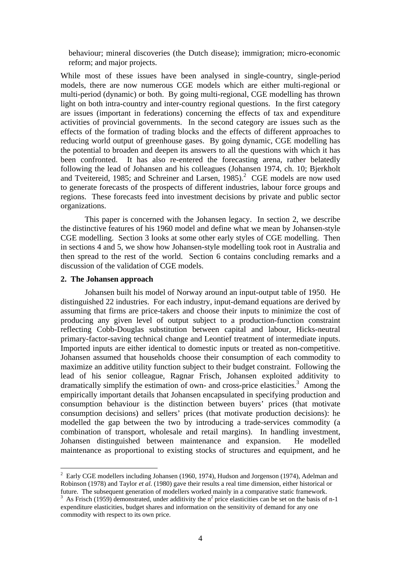behaviour; mineral discoveries (the Dutch disease); immigration; micro-economic reform; and major projects.

While most of these issues have been analysed in single-country, single-period models, there are now numerous CGE models which are either multi-regional or multi-period (dynamic) or both. By going multi-regional, CGE modelling has thrown light on both intra-country and inter-country regional questions. In the first category are issues (important in federations) concerning the effects of tax and expenditure activities of provincial governments. In the second category are issues such as the effects of the formation of trading blocks and the effects of different approaches to reducing world output of greenhouse gases. By going dynamic, CGE modelling has the potential to broaden and deepen its answers to all the questions with which it has been confronted. It has also re-entered the forecasting arena, rather belatedly following the lead of Johansen and his colleagues (Johansen 1974, ch. 10; Bjerkholt and Tveitereid, 1985; and Schreiner and Larsen,  $1985$ ).<sup>2</sup> CGE models are now used to generate forecasts of the prospects of different industries, labour force groups and regions. These forecasts feed into investment decisions by private and public sector organizations.

 This paper is concerned with the Johansen legacy. In section 2, we describe the distinctive features of his 1960 model and define what we mean by Johansen-style CGE modelling. Section 3 looks at some other early styles of CGE modelling. Then in sections 4 and 5, we show how Johansen-style modelling took root in Australia and then spread to the rest of the world. Section 6 contains concluding remarks and a discussion of the validation of CGE models.

#### **2. The Johansen approach**

1

 Johansen built his model of Norway around an input-output table of 1950. He distinguished 22 industries. For each industry, input-demand equations are derived by assuming that firms are price-takers and choose their inputs to minimize the cost of producing any given level of output subject to a production-function constraint reflecting Cobb-Douglas substitution between capital and labour, Hicks-neutral primary-factor-saving technical change and Leontief treatment of intermediate inputs. Imported inputs are either identical to domestic inputs or treated as non-competitive. Johansen assumed that households choose their consumption of each commodity to maximize an additive utility function subject to their budget constraint. Following the lead of his senior colleague, Ragnar Frisch, Johansen exploited additivity to dramatically simplify the estimation of own- and cross-price elasticities.<sup>3</sup> Among the empirically important details that Johansen encapsulated in specifying production and consumption behaviour is the distinction between buyers' prices (that motivate consumption decisions) and sellers' prices (that motivate production decisions): he modelled the gap between the two by introducing a trade-services commodity (a combination of transport, wholesale and retail margins). In handling investment, Johansen distinguished between maintenance and expansion. He modelled maintenance as proportional to existing stocks of structures and equipment, and he

 $2$  Early CGE modellers including Johansen (1960, 1974), Hudson and Jorgenson (1974), Adelman and Robinson (1978) and Taylor *et al.* (1980) gave their results a real time dimension, either historical or future. The subsequent generation of modellers worked mainly in a comparative static framework.

<sup>&</sup>lt;sup>3</sup> As Frisch (1959) demonstrated, under additivity the  $n^2$  price elasticities can be set on the basis of n-1 expenditure elasticities, budget shares and information on the sensitivity of demand for any one commodity with respect to its own price.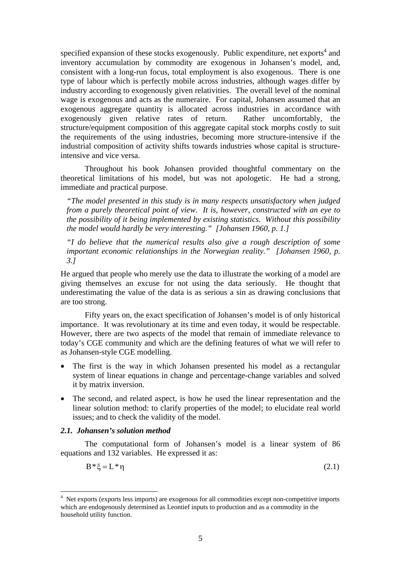specified expansion of these stocks exogenously. Public expenditure, net exports<sup>4</sup> and inventory accumulation by commodity are exogenous in Johansen's model, and, consistent with a long-run focus, total employment is also exogenous. There is one type of labour which is perfectly mobile across industries, although wages differ by industry according to exogenously given relativities. The overall level of the nominal wage is exogenous and acts as the numeraire. For capital, Johansen assumed that an exogenous aggregate quantity is allocated across industries in accordance with exogenously given relative rates of return. Rather uncomfortably, the structure/equipment composition of this aggregate capital stock morphs costly to suit the requirements of the using industries, becoming more structure-intensive if the industrial composition of activity shifts towards industries whose capital is structureintensive and vice versa.

 Throughout his book Johansen provided thoughtful commentary on the theoretical limitations of his model, but was not apologetic. He had a strong, immediate and practical purpose.

*"The model presented in this study is in many respects unsatisfactory when judged from a purely theoretical point of view. It is, however, constructed with an eye to the possibility of it being implemented by existing statistics. Without this possibility the model would hardly be very interesting." [Johansen 1960, p. 1.]* 

*"I do believe that the numerical results also give a rough description of some important economic relationships in the Norwegian reality." [Johansen 1960, p. 3.]* 

He argued that people who merely use the data to illustrate the working of a model are giving themselves an excuse for not using the data seriously. He thought that underestimating the value of the data is as serious a sin as drawing conclusions that are too strong.

 Fifty years on, the exact specification of Johansen's model is of only historical importance. It was revolutionary at its time and even today, it would be respectable. However, there are two aspects of the model that remain of immediate relevance to today's CGE community and which are the defining features of what we will refer to as Johansen-style CGE modelling.

- The first is the way in which Johansen presented his model as a rectangular system of linear equations in change and percentage-change variables and solved it by matrix inversion.
- The second, and related aspect, is how he used the linear representation and the linear solution method: to clarify properties of the model; to elucidate real world issues; and to check the validity of the model.

#### *2.1. Johansen's solution method*

1

 The computational form of Johansen's model is a linear system of 86 equations and 132 variables. He expressed it as:

$$
B^* \xi = L^* \eta \tag{2.1}
$$

<sup>&</sup>lt;sup>4</sup> Net exports (exports less imports) are exogenous for all commodities except non-competitive imports which are endogenously determined as Leontief inputs to production and as a commodity in the household utility function.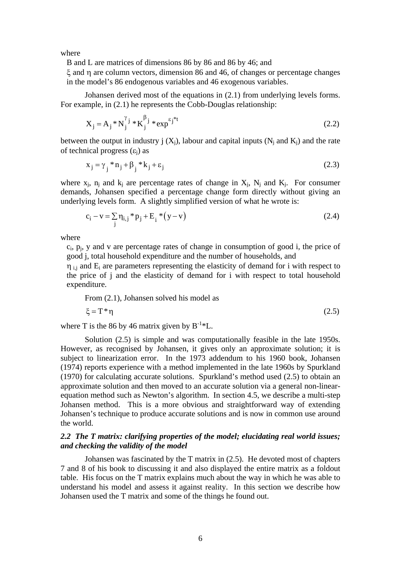where

B and L are matrices of dimensions 86 by 86 and 86 by 46; and

ξ and η are column vectors, dimension 86 and 46, of changes or percentage changes in the model's 86 endogenous variables and 46 exogenous variables.

 Johansen derived most of the equations in (2.1) from underlying levels forms. For example, in (2.1) he represents the Cobb-Douglas relationship:

$$
X_j = A_j * N_j^{\gamma_j} * K_j^{\beta_j} * exp^{\epsilon_j * t}
$$
 (2.2)

between the output in industry j  $(X_i)$ , labour and capital inputs  $(N_i \text{ and } K_i)$  and the rate of technical progress  $(\epsilon_i)$  as

$$
x_j = \gamma_j * n_j + \beta_j * k_j + \varepsilon_j \tag{2.3}
$$

where  $x_i$ ,  $n_i$  and  $k_i$  are percentage rates of change in  $X_i$ ,  $N_i$  and  $K_i$ . For consumer demands, Johansen specified a percentage change form directly without giving an underlying levels form. A slightly simplified version of what he wrote is:

$$
c_i - v = \sum_j \eta_{i,j} * p_j + E_i * (y - v)
$$
 (2.4)

where

 $c_i$ ,  $p_i$ ,  $y$  and  $y$  are percentage rates of change in consumption of good i, the price of good j, total household expenditure and the number of households, and

 $\eta_{ij}$  and  $E_i$  are parameters representing the elasticity of demand for i with respect to the price of j and the elasticity of demand for i with respect to total household expenditure.

From (2.1), Johansen solved his model as

$$
\xi = T^* \eta \tag{2.5}
$$

where T is the 86 by 46 matrix given by  $B^{-1*}L$ .

 Solution (2.5) is simple and was computationally feasible in the late 1950s. However, as recognised by Johansen, it gives only an approximate solution; it is subject to linearization error. In the 1973 addendum to his 1960 book, Johansen (1974) reports experience with a method implemented in the late 1960s by Spurkland (1970) for calculating accurate solutions. Spurkland's method used (2.5) to obtain an approximate solution and then moved to an accurate solution via a general non-linearequation method such as Newton's algorithm. In section 4.5, we describe a multi-step Johansen method. This is a more obvious and straightforward way of extending Johansen's technique to produce accurate solutions and is now in common use around the world.

#### *2.2 The T matrix: clarifying properties of the model; elucidating real world issues; and checking the validity of the model*

 Johansen was fascinated by the T matrix in (2.5). He devoted most of chapters 7 and 8 of his book to discussing it and also displayed the entire matrix as a foldout table. His focus on the T matrix explains much about the way in which he was able to understand his model and assess it against reality. In this section we describe how Johansen used the T matrix and some of the things he found out.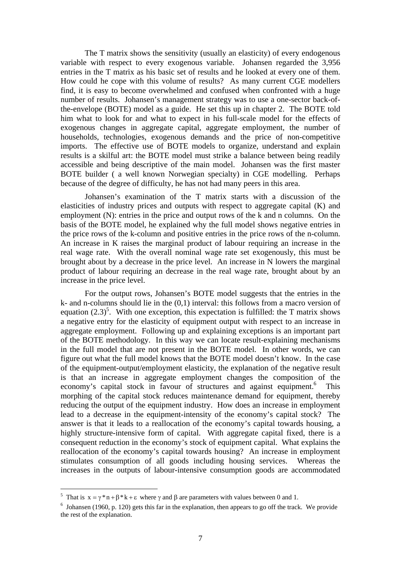The T matrix shows the sensitivity (usually an elasticity) of every endogenous variable with respect to every exogenous variable. Johansen regarded the 3,956 entries in the T matrix as his basic set of results and he looked at every one of them. How could he cope with this volume of results? As many current CGE modellers find, it is easy to become overwhelmed and confused when confronted with a huge number of results. Johansen's management strategy was to use a one-sector back-ofthe-envelope (BOTE) model as a guide. He set this up in chapter 2. The BOTE told him what to look for and what to expect in his full-scale model for the effects of exogenous changes in aggregate capital, aggregate employment, the number of households, technologies, exogenous demands and the price of non-competitive imports. The effective use of BOTE models to organize, understand and explain results is a skilful art: the BOTE model must strike a balance between being readily accessible and being descriptive of the main model. Johansen was the first master BOTE builder ( a well known Norwegian specialty) in CGE modelling. Perhaps because of the degree of difficulty, he has not had many peers in this area.

 Johansen's examination of the T matrix starts with a discussion of the elasticities of industry prices and outputs with respect to aggregate capital (K) and employment (N): entries in the price and output rows of the k and n columns. On the basis of the BOTE model, he explained why the full model shows negative entries in the price rows of the k-column and positive entries in the price rows of the n-column. An increase in K raises the marginal product of labour requiring an increase in the real wage rate. With the overall nominal wage rate set exogenously, this must be brought about by a decrease in the price level. An increase in N lowers the marginal product of labour requiring an decrease in the real wage rate, brought about by an increase in the price level.

 For the output rows, Johansen's BOTE model suggests that the entries in the k- and n-columns should lie in the (0,1) interval: this follows from a macro version of equation  $(2.3)^5$ . With one exception, this expectation is fulfilled: the T matrix shows a negative entry for the elasticity of equipment output with respect to an increase in aggregate employment. Following up and explaining exceptions is an important part of the BOTE methodology. In this way we can locate result-explaining mechanisms in the full model that are not present in the BOTE model. In other words, we can figure out what the full model knows that the BOTE model doesn't know. In the case of the equipment-output/employment elasticity, the explanation of the negative result is that an increase in aggregate employment changes the composition of the economy's capital stock in favour of structures and against equipment.<sup>6</sup> This morphing of the capital stock reduces maintenance demand for equipment, thereby reducing the output of the equipment industry. How does an increase in employment lead to a decrease in the equipment-intensity of the economy's capital stock? The answer is that it leads to a reallocation of the economy's capital towards housing, a highly structure-intensive form of capital. With aggregate capital fixed, there is a consequent reduction in the economy's stock of equipment capital. What explains the reallocation of the economy's capital towards housing? An increase in employment stimulates consumption of all goods including housing services. Whereas the increases in the outputs of labour-intensive consumption goods are accommodated

<u>.</u>

<sup>&</sup>lt;sup>5</sup> That is  $x = \gamma * n + \beta * k + \epsilon$  where  $\gamma$  and  $\beta$  are parameters with values between 0 and 1.<br><sup>6</sup> Johanson (1060, n, 120) gots this for in the explanation, then appears to go off the track

 $\delta$  Johansen (1960, p. 120) gets this far in the explanation, then appears to go off the track. We provide the rest of the explanation.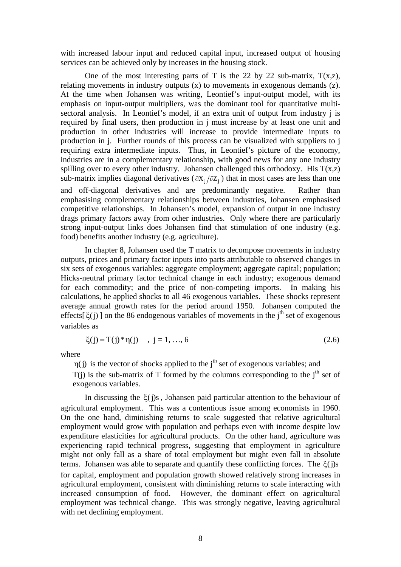with increased labour input and reduced capital input, increased output of housing services can be achieved only by increases in the housing stock.

One of the most interesting parts of T is the 22 by 22 sub-matrix,  $T(x,z)$ , relating movements in industry outputs (x) to movements in exogenous demands (z). At the time when Johansen was writing, Leontief's input-output model, with its emphasis on input-output multipliers, was the dominant tool for quantitative multisectoral analysis. In Leontief's model, if an extra unit of output from industry j is required by final users, then production in j must increase by at least one unit and production in other industries will increase to provide intermediate inputs to production in j. Further rounds of this process can be visualized with suppliers to j requiring extra intermediate inputs. Thus, in Leontief's picture of the economy, industries are in a complementary relationship, with good news for any one industry spilling over to every other industry. Johansen challenged this orthodoxy. His  $T(x,z)$ sub-matrix implies diagonal derivatives ( $\partial x_j / \partial z_j$ ) that in most cases are less than one and off-diagonal derivatives and are predominantly negative. Rather than emphasising complementary relationships between industries, Johansen emphasised competitive relationships. In Johansen's model, expansion of output in one industry drags primary factors away from other industries. Only where there are particularly strong input-output links does Johansen find that stimulation of one industry (e.g. food) benefits another industry (e.g. agriculture).

 In chapter 8, Johansen used the T matrix to decompose movements in industry outputs, prices and primary factor inputs into parts attributable to observed changes in six sets of exogenous variables: aggregate employment; aggregate capital; population; Hicks-neutral primary factor technical change in each industry; exogenous demand for each commodity; and the price of non-competing imports. In making his calculations, he applied shocks to all 46 exogenous variables. These shocks represent average annual growth rates for the period around 1950. Johansen computed the effects[ $\xi$ (j)] on the 86 endogenous variables of movements in the j<sup>th</sup> set of exogenous variables as

$$
\xi(j) = T(j) * \eta(j) \quad , \ j = 1, ..., 6 \tag{2.6}
$$

where

 $\eta(j)$  is the vector of shocks applied to the j<sup>th</sup> set of exogenous variables; and

 $T(i)$  is the sub-matrix of T formed by the columns corresponding to the  $i<sup>th</sup>$  set of exogenous variables.

In discussing the  $\xi$ (j)s, Johansen paid particular attention to the behaviour of agricultural employment. This was a contentious issue among economists in 1960. On the one hand, diminishing returns to scale suggested that relative agricultural employment would grow with population and perhaps even with income despite low expenditure elasticities for agricultural products. On the other hand, agriculture was experiencing rapid technical progress, suggesting that employment in agriculture might not only fall as a share of total employment but might even fall in absolute terms. Johansen was able to separate and quantify these conflicting forces. The  $\xi$ (j)s for capital, employment and population growth showed relatively strong increases in agricultural employment, consistent with diminishing returns to scale interacting with increased consumption of food. However, the dominant effect on agricultural employment was technical change. This was strongly negative, leaving agricultural with net declining employment.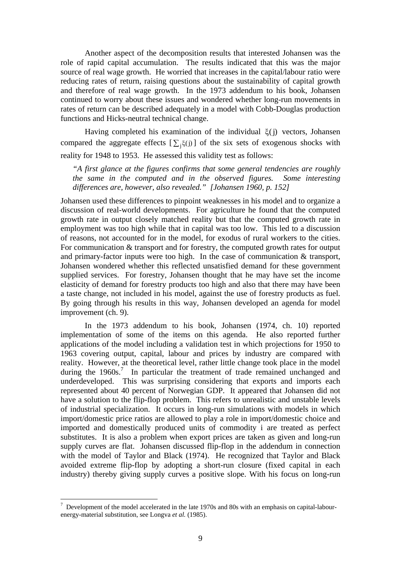Another aspect of the decomposition results that interested Johansen was the role of rapid capital accumulation. The results indicated that this was the major source of real wage growth. He worried that increases in the capital/labour ratio were reducing rates of return, raising questions about the sustainability of capital growth and therefore of real wage growth. In the 1973 addendum to his book, Johansen continued to worry about these issues and wondered whether long-run movements in rates of return can be described adequately in a model with Cobb-Douglas production functions and Hicks-neutral technical change.

Having completed his examination of the individual  $\xi(j)$  vectors, Johansen compared the aggregate effects  $[\sum_i \xi(j)]$  of the six sets of exogenous shocks with reality for 1948 to 1953. He assessed this validity test as follows:

*"A first glance at the figures confirms that some general tendencies are roughly the same in the computed and in the observed figures. Some interesting differences are, however, also revealed." [Johansen 1960, p. 152]* 

Johansen used these differences to pinpoint weaknesses in his model and to organize a discussion of real-world developments. For agriculture he found that the computed growth rate in output closely matched reality but that the computed growth rate in employment was too high while that in capital was too low. This led to a discussion of reasons, not accounted for in the model, for exodus of rural workers to the cities. For communication & transport and for forestry, the computed growth rates for output and primary-factor inputs were too high. In the case of communication & transport, Johansen wondered whether this reflected unsatisfied demand for these government supplied services. For forestry, Johansen thought that he may have set the income elasticity of demand for forestry products too high and also that there may have been a taste change, not included in his model, against the use of forestry products as fuel. By going through his results in this way, Johansen developed an agenda for model improvement (ch. 9).

 In the 1973 addendum to his book, Johansen (1974, ch. 10) reported implementation of some of the items on this agenda. He also reported further applications of the model including a validation test in which projections for 1950 to 1963 covering output, capital, labour and prices by industry are compared with reality. However, at the theoretical level, rather little change took place in the model during the 1960s.<sup>7</sup> In particular the treatment of trade remained unchanged and underdeveloped. This was surprising considering that exports and imports each represented about 40 percent of Norwegian GDP. It appeared that Johansen did not have a solution to the flip-flop problem. This refers to unrealistic and unstable levels of industrial specialization. It occurs in long-run simulations with models in which import/domestic price ratios are allowed to play a role in import/domestic choice and imported and domestically produced units of commodity i are treated as perfect substitutes. It is also a problem when export prices are taken as given and long-run supply curves are flat. Johansen discussed flip-flop in the addendum in connection with the model of Taylor and Black (1974). He recognized that Taylor and Black avoided extreme flip-flop by adopting a short-run closure (fixed capital in each industry) thereby giving supply curves a positive slope. With his focus on long-run

 $<sup>7</sup>$  Development of the model accelerated in the late 1970s and 80s with an emphasis on capital-labour-</sup> energy-material substitution, see Longva *et al.* (1985).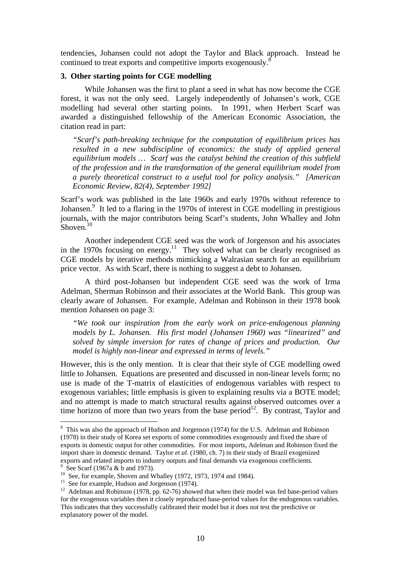tendencies, Johansen could not adopt the Taylor and Black approach. Instead he continued to treat exports and competitive imports exogenously.<sup>8</sup> i.

#### **3. Other starting points for CGE modelling**

 While Johansen was the first to plant a seed in what has now become the CGE forest, it was not the only seed. Largely independently of Johansen's work, CGE modelling had several other starting points. In 1991, when Herbert Scarf was awarded a distinguished fellowship of the American Economic Association, the citation read in part:

*"Scarf's path-breaking technique for the computation of equilibrium prices has resulted in a new subdiscipline of economics: the study of applied general equilibrium models … Scarf was the catalyst behind the creation of this subfield of the profession and in the transformation of the general equilibrium model from a purely theoretical construct to a useful tool for policy analysis." [American Economic Review, 82(4), September 1992]*

Scarf's work was published in the late 1960s and early 1970s without reference to Johansen.<sup>9</sup> It led to a flaring in the 1970s of interest in CGE modelling in prestigious journals, with the major contributors being Scarf's students, John Whalley and John Shoven<sup>10</sup>

 Another independent CGE seed was the work of Jorgenson and his associates in the 1970s focusing on energy.<sup>11</sup> They solved what can be clearly recognised as CGE models by iterative methods mimicking a Walrasian search for an equilibrium price vector. As with Scarf, there is nothing to suggest a debt to Johansen.

 A third post-Johansen but independent CGE seed was the work of Irma Adelman, Sherman Robinson and their associates at the World Bank. This group was clearly aware of Johansen. For example, Adelman and Robinson in their 1978 book mention Johansen on page 3:

*"We took our inspiration from the early work on price-endogenous planning models by L. Johansen. His first model (Johansen 1960) was "linearized" and solved by simple inversion for rates of change of prices and production. Our model is highly non-linear and expressed in terms of levels."* 

However, this is the only mention. It is clear that their style of CGE modelling owed little to Johansen. Equations are presented and discussed in non-linear levels form; no use is made of the T-matrix of elasticities of endogenous variables with respect to exogenous variables; little emphasis is given to explaining results via a BOTE model; and no attempt is made to match structural results against observed outcomes over a time horizon of more than two years from the base period<sup>12</sup>. By contrast, Taylor and

<sup>&</sup>lt;sup>8</sup> This was also the approach of Hudson and Jorgenson (1974) for the U.S. Adelman and Robinson (1978) in their study of Korea set exports of some commodities exogenously and fixed the share of exports in domestic output for other commodities. For most imports, Adelman and Robinson fixed the import share in domestic demand. Taylor *et al.* (1980, ch. 7) in their study of Brazil exogenized exports and related imports to industry outputs and final demands via exogenous coefficients.

<sup>&</sup>lt;sup>9</sup> See Scarf (1967a & b and 1973).

 $10^{10}$  See, for example, Shoven and Whalley (1972, 1973, 1974 and 1984).

<sup>&</sup>lt;sup>11</sup> See for example, Hudson and Jorgenson (1974).

<sup>&</sup>lt;sup>12</sup> Adelman and Robinson (1978, pp. 62-76) showed that when their model was fed base-period values for the exogenous variables then it closely reproduced base-period values for the endogenous variables. This indicates that they successfully calibrated their model but it does not test the predictive or explanatory power of the model.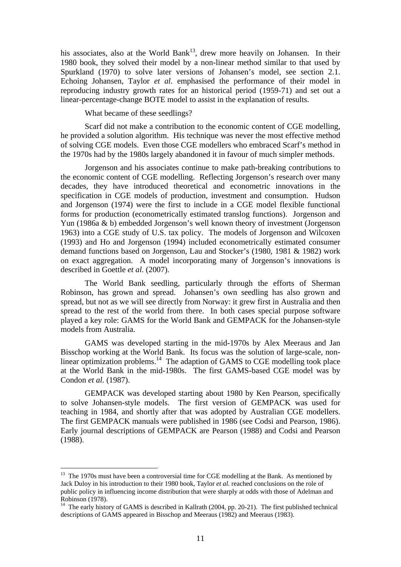his associates, also at the World Bank<sup>13</sup>, drew more heavily on Johansen. In their 1980 book, they solved their model by a non-linear method similar to that used by Spurkland (1970) to solve later versions of Johansen's model, see section 2.1. Echoing Johansen, Taylor *et al*. emphasised the performance of their model in reproducing industry growth rates for an historical period (1959-71) and set out a linear-percentage-change BOTE model to assist in the explanation of results.

What became of these seedlings?

 Scarf did not make a contribution to the economic content of CGE modelling, he provided a solution algorithm. His technique was never the most effective method of solving CGE models. Even those CGE modellers who embraced Scarf's method in the 1970s had by the 1980s largely abandoned it in favour of much simpler methods.

 Jorgenson and his associates continue to make path-breaking contributions to the economic content of CGE modelling. Reflecting Jorgenson's research over many decades, they have introduced theoretical and econometric innovations in the specification in CGE models of production, investment and consumption. Hudson and Jorgenson (1974) were the first to include in a CGE model flexible functional forms for production (econometrically estimated translog functions). Jorgenson and Yun (1986a & b) embedded Jorgenson's well known theory of investment (Jorgenson 1963) into a CGE study of U.S. tax policy. The models of Jorgenson and Wilcoxen (1993) and Ho and Jorgenson (1994) included econometrically estimated consumer demand functions based on Jorgenson, Lau and Stocker's (1980, 1981 & 1982) work on exact aggregation. A model incorporating many of Jorgenson's innovations is described in Goettle *et al.* (2007).

 The World Bank seedling, particularly through the efforts of Sherman Robinson, has grown and spread. Johansen's own seedling has also grown and spread, but not as we will see directly from Norway: it grew first in Australia and then spread to the rest of the world from there. In both cases special purpose software played a key role: GAMS for the World Bank and GEMPACK for the Johansen-style models from Australia.

GAMS was developed starting in the mid-1970s by Alex Meeraus and Jan Bisschop working at the World Bank. Its focus was the solution of large-scale, nonlinear optimization problems.<sup>14</sup> The adaption of GAMS to CGE modelling took place at the World Bank in the mid-1980s. The first GAMS-based CGE model was by Condon *et al.* (1987).

 GEMPACK was developed starting about 1980 by Ken Pearson, specifically to solve Johansen-style models. The first version of GEMPACK was used for teaching in 1984, and shortly after that was adopted by Australian CGE modellers. The first GEMPACK manuals were published in 1986 (see Codsi and Pearson, 1986). Early journal descriptions of GEMPACK are Pearson (1988) and Codsi and Pearson (1988).

<sup>&</sup>lt;sup>13</sup> The 1970s must have been a controversial time for CGE modelling at the Bank. As mentioned by Jack Duloy in his introduction to their 1980 book, Taylor *et al.* reached conclusions on the role of public policy in influencing income distribution that were sharply at odds with those of Adelman and Robinson (1978).

<sup>&</sup>lt;sup>14</sup> The early history of GAMS is described in Kallrath (2004, pp. 20-21). The first published technical descriptions of GAMS appeared in Bisschop and Meeraus (1982) and Meeraus (1983).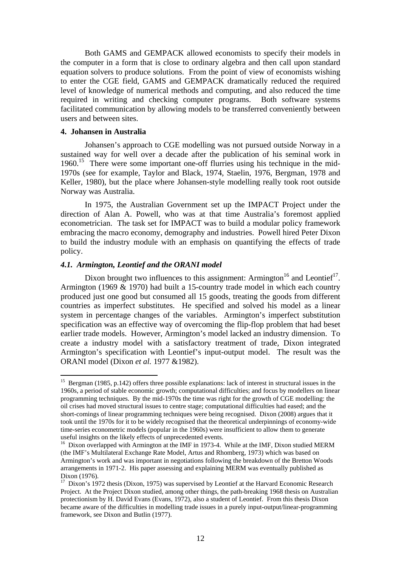Both GAMS and GEMPACK allowed economists to specify their models in the computer in a form that is close to ordinary algebra and then call upon standard equation solvers to produce solutions. From the point of view of economists wishing to enter the CGE field, GAMS and GEMPACK dramatically reduced the required level of knowledge of numerical methods and computing, and also reduced the time required in writing and checking computer programs. Both software systems facilitated communication by allowing models to be transferred conveniently between users and between sites.

#### **4. Johansen in Australia**

1

 Johansen's approach to CGE modelling was not pursued outside Norway in a sustained way for well over a decade after the publication of his seminal work in 1960.<sup>15</sup> There were some important one-off flurries using his technique in the mid-1970s (see for example, Taylor and Black, 1974, Staelin, 1976, Bergman, 1978 and Keller, 1980), but the place where Johansen-style modelling really took root outside Norway was Australia.

 In 1975, the Australian Government set up the IMPACT Project under the direction of Alan A. Powell, who was at that time Australia's foremost applied econometrician. The task set for IMPACT was to build a modular policy framework embracing the macro economy, demography and industries. Powell hired Peter Dixon to build the industry module with an emphasis on quantifying the effects of trade policy.

#### *4.1. Armington, Leontief and the ORANI model*

Dixon brought two influences to this assignment: Armington<sup>16</sup> and Leontief<sup>17</sup>. Armington (1969  $\&$  1970) had built a 15-country trade model in which each country produced just one good but consumed all 15 goods, treating the goods from different countries as imperfect substitutes. He specified and solved his model as a linear system in percentage changes of the variables. Armington's imperfect substitution specification was an effective way of overcoming the flip-flop problem that had beset earlier trade models. However, Armington's model lacked an industry dimension. To create a industry model with a satisfactory treatment of trade, Dixon integrated Armington's specification with Leontief's input-output model. The result was the ORANI model (Dixon *et al.* 1977 &1982).

<sup>&</sup>lt;sup>15</sup> Bergman (1985, p.142) offers three possible explanations: lack of interest in structural issues in the 1960s, a period of stable economic growth; computational difficulties; and focus by modellers on linear programming techniques. By the mid-1970s the time was right for the growth of CGE modelling: the oil crises had moved structural issues to centre stage; computational difficulties had eased; and the short-comings of linear programming techniques were being recognised. Dixon (2008) argues that it took until the 1970s for it to be widely recognised that the theoretical underpinnings of economy-wide time-series econometric models (popular in the 1960s) were insufficient to allow them to generate useful insights on the likely effects of unprecedented events. 16 Dixon overlapped with Armington at the IMF in 1973-4. While at the IMF, Dixon studied MERM

<sup>(</sup>the IMF's Multilateral Exchange Rate Model, Artus and Rhomberg, 1973) which was based on Armington's work and was important in negotiations following the breakdown of the Bretton Woods arrangements in 1971-2. His paper assessing and explaining MERM was eventually published as Dixon (1976).

 $17$  Dixon's 1972 thesis (Dixon, 1975) was supervised by Leontief at the Harvard Economic Research Project. At the Project Dixon studied, among other things, the path-breaking 1968 thesis on Australian protectionism by H. David Evans (Evans, 1972), also a student of Leontief. From this thesis Dixon became aware of the difficulties in modelling trade issues in a purely input-output/linear-programming framework, see Dixon and Butlin (1977).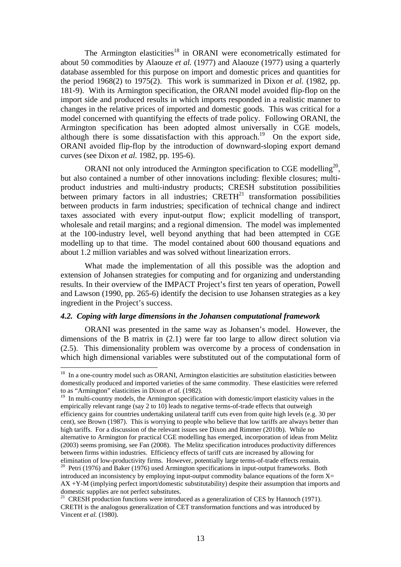The Armington elasticities<sup>18</sup> in ORANI were econometrically estimated for about 50 commodities by Alaouze *et al.* (1977) and Alaouze (1977) using a quarterly database assembled for this purpose on import and domestic prices and quantities for the period 1968(2) to 1975(2). This work is summarized in Dixon *et al.* (1982, pp. 181-9). With its Armington specification, the ORANI model avoided flip-flop on the import side and produced results in which imports responded in a realistic manner to changes in the relative prices of imported and domestic goods. This was critical for a model concerned with quantifying the effects of trade policy. Following ORANI, the Armington specification has been adopted almost universally in CGE models, although there is some dissatisfaction with this approach.<sup>19</sup> On the export side, ORANI avoided flip-flop by the introduction of downward-sloping export demand curves (see Dixon *et al.* 1982, pp. 195-6).

ORANI not only introduced the Armington specification to CGE modelling<sup>20</sup>, but also contained a number of other innovations including: flexible closures; multiproduct industries and multi-industry products; CRESH substitution possibilities between primary factors in all industries;  $CRETH<sup>21</sup>$  transformation possibilities between products in farm industries; specification of technical change and indirect taxes associated with every input-output flow; explicit modelling of transport, wholesale and retail margins; and a regional dimension. The model was implemented at the 100-industry level, well beyond anything that had been attempted in CGE modelling up to that time. The model contained about 600 thousand equations and about 1.2 million variables and was solved without linearization errors.

 What made the implementation of all this possible was the adoption and extension of Johansen strategies for computing and for organizing and understanding results. In their overview of the IMPACT Project's first ten years of operation, Powell and Lawson (1990, pp. 265-6) identify the decision to use Johansen strategies as a key ingredient in the Project's success.

#### *4.2. Coping with large dimensions in the Johansen computational framework*

1

 ORANI was presented in the same way as Johansen's model. However, the dimensions of the B matrix in (2.1) were far too large to allow direct solution via (2.5). This dimensionality problem was overcome by a process of condensation in which high dimensional variables were substituted out of the computational form of

 $19$  In multi-country models, the Armington specification with domestic/import elasticity values in the empirically relevant range (say 2 to 10) leads to negative terms-of-trade effects that outweigh efficiency gains for countries undertaking unilateral tariff cuts even from quite high levels (e.g. 30 per cent), see Brown (1987). This is worrying to people who believe that low tariffs are always better than high tariffs. For a discussion of the relevant issues see Dixon and Rimmer (2010b). While no alternative to Armington for practical CGE modelling has emerged, incorporation of ideas from Melitz (2003) seems promising, see Fan (2008). The Melitz specification introduces productivity differences between firms within industries. Efficiency effects of tariff cuts are increased by allowing for elimination of low-productivity firms. However, potentially large terms-of-trade effects remain.

<sup>&</sup>lt;sup>18</sup> In a one-country model such as ORANI, Armington elasticities are substitution elasticities between domestically produced and imported varieties of the same commodity. These elasticities were referred to as "Armington" elasticities in Dixon *et al.* (1982).

<sup>&</sup>lt;sup>20</sup> Petri (1976) and Baker (1976) used Armington specifications in input-output frameworks. Both introduced an inconsistency by employing input-output commodity balance equations of the form X= AX +Y-M (implying perfect import/domestic substitutability) despite their assumption that imports and domestic supplies are not perfect substitutes.

 $21$  CRESH production functions were introduced as a generalization of CES by Hannoch (1971). CRETH is the analogous generalization of CET transformation functions and was introduced by Vincent *et al.* (1980).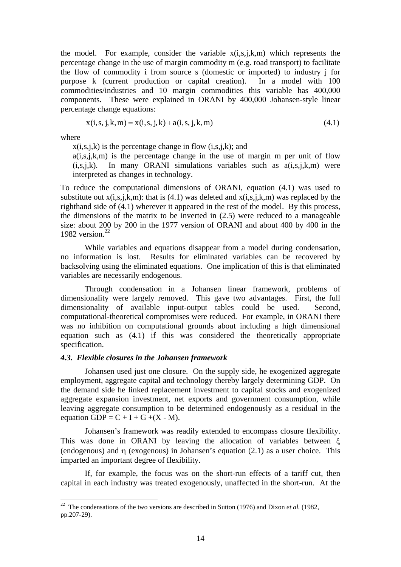the model. For example, consider the variable  $x(i,s,j,k,m)$  which represents the percentage change in the use of margin commodity m (e.g. road transport) to facilitate the flow of commodity i from source s (domestic or imported) to industry j for purpose k (current production or capital creation). In a model with 100 commodities/industries and 10 margin commodities this variable has 400,000 components. These were explained in ORANI by 400,000 Johansen-style linear percentage change equations:

$$
x(i, s, j, k, m) = x(i, s, j, k) + a(i, s, j, k, m)
$$
\n(4.1)

where

1

 $x(i,s,j,k)$  is the percentage change in flow  $(i,s,j,k)$ ; and

 $a(i,s,j,k,m)$  is the percentage change in the use of margin m per unit of flow  $(i,s,j,k)$ . In many ORANI simulations variables such as  $a(i,s,j,k,m)$  were interpreted as changes in technology.

To reduce the computational dimensions of ORANI, equation (4.1) was used to substitute out  $x(i,s,j,k,m)$ : that is (4.1) was deleted and  $x(i,s,j,k,m)$  was replaced by the righthand side of (4.1) wherever it appeared in the rest of the model. By this process, the dimensions of the matrix to be inverted in (2.5) were reduced to a manageable size: about 200 by 200 in the 1977 version of ORANI and about 400 by 400 in the 1982 version. $22$ 

 While variables and equations disappear from a model during condensation, no information is lost. Results for eliminated variables can be recovered by backsolving using the eliminated equations. One implication of this is that eliminated variables are necessarily endogenous.

Through condensation in a Johansen linear framework, problems of dimensionality were largely removed. This gave two advantages. First, the full dimensionality of available input-output tables could be used. Second, computational-theoretical compromises were reduced. For example, in ORANI there was no inhibition on computational grounds about including a high dimensional equation such as (4.1) if this was considered the theoretically appropriate specification.

#### *4.3. Flexible closures in the Johansen framework*

 Johansen used just one closure. On the supply side, he exogenized aggregate employment, aggregate capital and technology thereby largely determining GDP. On the demand side he linked replacement investment to capital stocks and exogenized aggregate expansion investment, net exports and government consumption, while leaving aggregate consumption to be determined endogenously as a residual in the equation GDP =  $C + I + G + (X - M)$ .

 Johansen's framework was readily extended to encompass closure flexibility. This was done in ORANI by leaving the allocation of variables between ξ (endogenous) and η (exogenous) in Johansen's equation (2.1) as a user choice. This imparted an important degree of flexibility.

 If, for example, the focus was on the short-run effects of a tariff cut, then capital in each industry was treated exogenously, unaffected in the short-run. At the

 $22$  The condensations of the two versions are described in Sutton (1976) and Dixon *et al.* (1982, pp.207-29).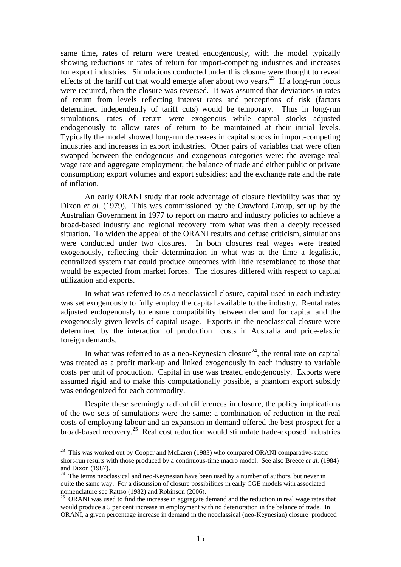same time, rates of return were treated endogenously, with the model typically showing reductions in rates of return for import-competing industries and increases for export industries. Simulations conducted under this closure were thought to reveal effects of the tariff cut that would emerge after about two years.<sup>23</sup> If a long-run focus were required, then the closure was reversed. It was assumed that deviations in rates of return from levels reflecting interest rates and perceptions of risk (factors determined independently of tariff cuts) would be temporary. Thus in long-run simulations, rates of return were exogenous while capital stocks adjusted endogenously to allow rates of return to be maintained at their initial levels. Typically the model showed long-run decreases in capital stocks in import-competing industries and increases in export industries. Other pairs of variables that were often swapped between the endogenous and exogenous categories were: the average real wage rate and aggregate employment; the balance of trade and either public or private consumption; export volumes and export subsidies; and the exchange rate and the rate of inflation.

 An early ORANI study that took advantage of closure flexibility was that by Dixon *et al.* (1979). This was commissioned by the Crawford Group, set up by the Australian Government in 1977 to report on macro and industry policies to achieve a broad-based industry and regional recovery from what was then a deeply recessed situation. To widen the appeal of the ORANI results and defuse criticism, simulations were conducted under two closures. In both closures real wages were treated exogenously, reflecting their determination in what was at the time a legalistic, centralized system that could produce outcomes with little resemblance to those that would be expected from market forces. The closures differed with respect to capital utilization and exports.

 In what was referred to as a neoclassical closure, capital used in each industry was set exogenously to fully employ the capital available to the industry. Rental rates adjusted endogenously to ensure compatibility between demand for capital and the exogenously given levels of capital usage. Exports in the neoclassical closure were determined by the interaction of production costs in Australia and price-elastic foreign demands.

In what was referred to as a neo-Keynesian closure<sup>24</sup>, the rental rate on capital was treated as a profit mark-up and linked exogenously in each industry to variable costs per unit of production. Capital in use was treated endogenously. Exports were assumed rigid and to make this computationally possible, a phantom export subsidy was endogenized for each commodity.

 Despite these seemingly radical differences in closure, the policy implications of the two sets of simulations were the same: a combination of reduction in the real costs of employing labour and an expansion in demand offered the best prospect for a broad-based recovery.25 Real cost reduction would stimulate trade-exposed industries

 $23$  This was worked out by Cooper and McLaren (1983) who compared ORANI comparative-static short-run results with those produced by a continuous-time macro model. See also Breece *et al.* (1984) and Dixon (1987).

 $24$  The terms neoclassical and neo-Keynesian have been used by a number of authors, but never in quite the same way. For a discussion of closure possibilities in early CGE models with associated nomenclature see Rattso (1982) and Robinson (2006).

<sup>&</sup>lt;sup>25</sup> ORANI was used to find the increase in aggregate demand and the reduction in real wage rates that would produce a 5 per cent increase in employment with no deterioration in the balance of trade. In ORANI, a given percentage increase in demand in the neoclassical (neo-Keynesian) closure produced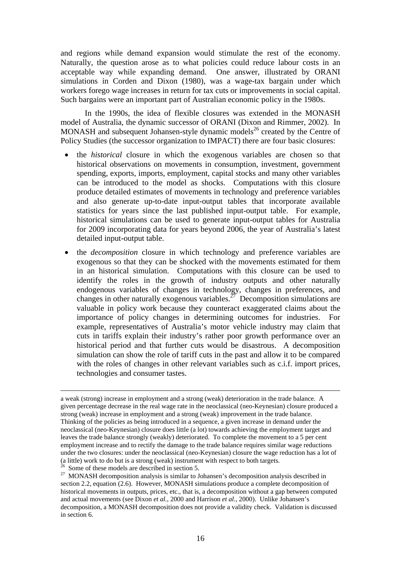and regions while demand expansion would stimulate the rest of the economy. Naturally, the question arose as to what policies could reduce labour costs in an acceptable way while expanding demand. One answer, illustrated by ORANI simulations in Corden and Dixon (1980), was a wage-tax bargain under which workers forego wage increases in return for tax cuts or improvements in social capital. Such bargains were an important part of Australian economic policy in the 1980s.

 In the 1990s, the idea of flexible closures was extended in the MONASH model of Australia, the dynamic successor of ORANI (Dixon and Rimmer, 2002). In MONASH and subsequent Johansen-style dynamic models<sup>26</sup> created by the Centre of Policy Studies (the successor organization to IMPACT) there are four basic closures:

- the *historical* closure in which the exogenous variables are chosen so that historical observations on movements in consumption, investment, government spending, exports, imports, employment, capital stocks and many other variables can be introduced to the model as shocks. Computations with this closure produce detailed estimates of movements in technology and preference variables and also generate up-to-date input-output tables that incorporate available statistics for years since the last published input-output table. For example, historical simulations can be used to generate input-output tables for Australia for 2009 incorporating data for years beyond 2006, the year of Australia's latest detailed input-output table.
- the *decomposition* closure in which technology and preference variables are exogenous so that they can be shocked with the movements estimated for them in an historical simulation. Computations with this closure can be used to identify the roles in the growth of industry outputs and other naturally endogenous variables of changes in technology, changes in preferences, and changes in other naturally exogenous variables.<sup>27</sup> Decomposition simulations are valuable in policy work because they counteract exaggerated claims about the importance of policy changes in determining outcomes for industries. For example, representatives of Australia's motor vehicle industry may claim that cuts in tariffs explain their industry's rather poor growth performance over an historical period and that further cuts would be disastrous. A decomposition simulation can show the role of tariff cuts in the past and allow it to be compared with the roles of changes in other relevant variables such as c.i.f. import prices, technologies and consumer tastes.

 $26$  Some of these models are described in section 5.

a weak (strong) increase in employment and a strong (weak) deterioration in the trade balance. A given percentage decrease in the real wage rate in the neoclassical (neo-Keynesian) closure produced a strong (weak) increase in employment and a strong (weak) improvement in the trade balance. Thinking of the policies as being introduced in a sequence, a given increase in demand under the neoclassical (neo-Keynesian) closure does little (a lot) towards achieving the employment target and leaves the trade balance strongly (weakly) deteriorated. To complete the movement to a 5 per cent employment increase and to rectify the damage to the trade balance requires similar wage reductions under the two closures: under the neoclassical (neo-Keynesian) closure the wage reduction has a lot of (a little) work to do but is a strong (weak) instrument with respect to both targets.

<sup>&</sup>lt;sup>27</sup> MONASH decomposition analysis is similar to Johansen's decomposition analysis described in section 2.2, equation (2.6). However, MONASH simulations produce a complete decomposition of historical movements in outputs, prices, etc., that is, a decomposition without a gap between computed and actual movements (see Dixon *et al.*, 2000 and Harrison *et al.*, 2000). Unlike Johansen's decomposition, a MONASH decomposition does not provide a validity check. Validation is discussed in section 6.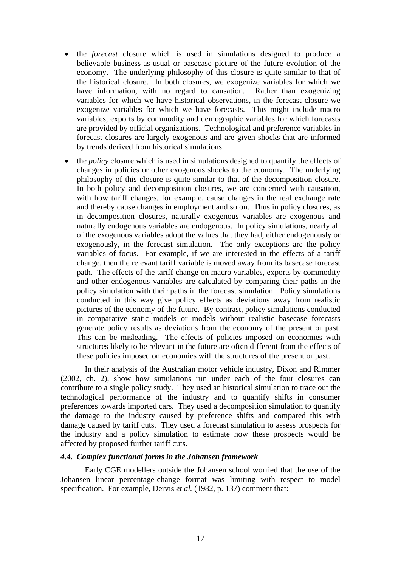- the *forecast* closure which is used in simulations designed to produce a believable business-as-usual or basecase picture of the future evolution of the economy. The underlying philosophy of this closure is quite similar to that of the historical closure. In both closures, we exogenize variables for which we have information, with no regard to causation. Rather than exogenizing variables for which we have historical observations, in the forecast closure we exogenize variables for which we have forecasts. This might include macro variables, exports by commodity and demographic variables for which forecasts are provided by official organizations. Technological and preference variables in forecast closures are largely exogenous and are given shocks that are informed by trends derived from historical simulations.
- the *policy* closure which is used in simulations designed to quantify the effects of changes in policies or other exogenous shocks to the economy. The underlying philosophy of this closure is quite similar to that of the decomposition closure. In both policy and decomposition closures, we are concerned with causation, with how tariff changes, for example, cause changes in the real exchange rate and thereby cause changes in employment and so on. Thus in policy closures, as in decomposition closures, naturally exogenous variables are exogenous and naturally endogenous variables are endogenous. In policy simulations, nearly all of the exogenous variables adopt the values that they had, either endogenously or exogenously, in the forecast simulation. The only exceptions are the policy variables of focus. For example, if we are interested in the effects of a tariff change, then the relevant tariff variable is moved away from its basecase forecast path. The effects of the tariff change on macro variables, exports by commodity and other endogenous variables are calculated by comparing their paths in the policy simulation with their paths in the forecast simulation. Policy simulations conducted in this way give policy effects as deviations away from realistic pictures of the economy of the future. By contrast, policy simulations conducted in comparative static models or models without realistic basecase forecasts generate policy results as deviations from the economy of the present or past. This can be misleading. The effects of policies imposed on economies with structures likely to be relevant in the future are often different from the effects of these policies imposed on economies with the structures of the present or past.

In their analysis of the Australian motor vehicle industry, Dixon and Rimmer (2002, ch. 2), show how simulations run under each of the four closures can contribute to a single policy study. They used an historical simulation to trace out the technological performance of the industry and to quantify shifts in consumer preferences towards imported cars. They used a decomposition simulation to quantify the damage to the industry caused by preference shifts and compared this with damage caused by tariff cuts. They used a forecast simulation to assess prospects for the industry and a policy simulation to estimate how these prospects would be affected by proposed further tariff cuts.

#### *4.4. Complex functional forms in the Johansen framework*

 Early CGE modellers outside the Johansen school worried that the use of the Johansen linear percentage-change format was limiting with respect to model specification. For example, Dervis *et al.* (1982, p. 137) comment that: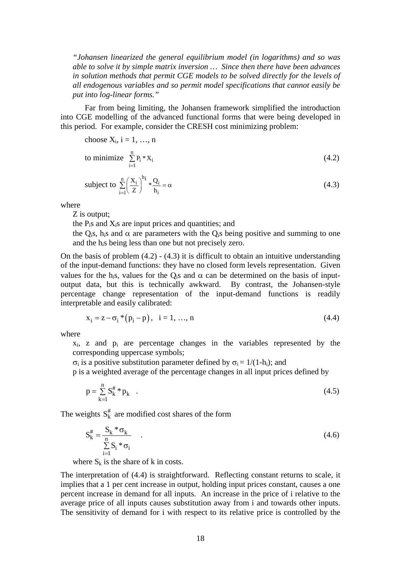*"Johansen linearized the general equilibrium model (in logarithms) and so was able to solve it by simple matrix inversion … Since then there have been advances in solution methods that permit CGE models to be solved directly for the levels of all endogenous variables and so permit model specifications that cannot easily be put into log-linear forms."* 

 Far from being limiting, the Johansen framework simplified the introduction into CGE modelling of the advanced functional forms that were being developed in this period. For example, consider the CRESH cost minimizing problem:

choose 
$$
X_i
$$
,  $i = 1, ..., n$   
to minimize 
$$
\sum_{i=1}^{n} P_i * X_i
$$
 (4.2)

subject to 
$$
\sum_{i=1}^{n} \left(\frac{X_i}{Z}\right)^{h_i} * \frac{Q_i}{h_i} = \alpha
$$
 (4.3)

where

Z is output;

the  $P_i$ s and  $X_i$ s are input prices and quantities; and

the Q<sub>is</sub>, h<sub>is</sub> and  $\alpha$  are parameters with the Q<sub>is</sub> being positive and summing to one and the his being less than one but not precisely zero.

On the basis of problem  $(4.2) - (4.3)$  it is difficult to obtain an intuitive understanding of the input-demand functions: they have no closed form levels representation. Given values for the h<sub>i</sub>s, values for the Q<sub>i</sub>s and  $\alpha$  can be determined on the basis of inputoutput data, but this is technically awkward. By contrast, the Johansen-style percentage change representation of the input-demand functions is readily interpretable and easily calibrated:

$$
x_i = z - \sigma_i * (p_i - p), \quad i = 1, ..., n
$$
\n(4.4)

where

xi, z and pi are percentage changes in the variables represented by the corresponding uppercase symbols;

 $σ<sub>i</sub>$  is a positive substitution parameter defined by  $σ<sub>i</sub> = 1/(1-h<sub>i</sub>)$ ; and

p is a weighted average of the percentage changes in all input prices defined by

$$
p = \sum_{k=1}^{n} S_k^{\#} * p_k \quad . \tag{4.5}
$$

The weights  $S_k^{\#}$  are modified cost shares of the form

$$
S_k^{\#} = \frac{S_k * \sigma_k}{\sum\limits_{i=1}^n S_i * \sigma_i} \tag{4.6}
$$

where  $S_k$  is the share of k in costs.

The interpretation of (4.4) is straightforward. Reflecting constant returns to scale, it implies that a 1 per cent increase in output, holding input prices constant, causes a one percent increase in demand for all inputs. An increase in the price of i relative to the average price of all inputs causes substitution away from i and towards other inputs. The sensitivity of demand for i with respect to its relative price is controlled by the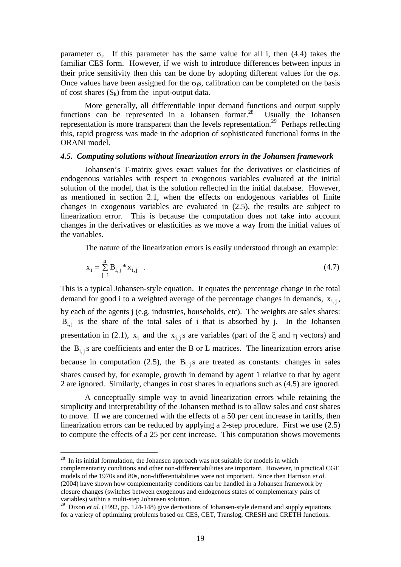parameter  $\sigma_i$ . If this parameter has the same value for all i, then (4.4) takes the familiar CES form. However, if we wish to introduce differences between inputs in their price sensitivity then this can be done by adopting different values for the  $\sigma_i$ s. Once values have been assigned for the  $\sigma_i$ s, calibration can be completed on the basis of cost shares  $(S_k)$  from the input-output data.

 More generally, all differentiable input demand functions and output supply functions can be represented in a Johansen format.28 Usually the Johansen representation is more transparent than the levels representation.<sup>29</sup> Perhaps reflecting this, rapid progress was made in the adoption of sophisticated functional forms in the ORANI model.

#### *4.5. Computing solutions without linearization errors in the Johansen framework*

 Johansen's T-matrix gives exact values for the derivatives or elasticities of endogenous variables with respect to exogenous variables evaluated at the initial solution of the model, that is the solution reflected in the initial database. However, as mentioned in section 2.1, when the effects on endogenous variables of finite changes in exogenous variables are evaluated in (2.5), the results are subject to linearization error. This is because the computation does not take into account changes in the derivatives or elasticities as we move a way from the initial values of the variables.

The nature of the linearization errors is easily understood through an example:

$$
x_{i} = \sum_{j=1}^{n} B_{i,j} * x_{i,j} \quad . \tag{4.7}
$$

This is a typical Johansen-style equation. It equates the percentage change in the total demand for good i to a weighted average of the percentage changes in demands,  $x_{i,i}$ , by each of the agents j (e.g. industries, households, etc). The weights are sales shares:  $B_{i,j}$  is the share of the total sales of i that is absorbed by j. In the Johansen presentation in (2.1),  $x_i$  and the  $x_{i,i}$  s are variables (part of the  $\xi$  and  $\eta$  vectors) and the  $B_{i,j}$ s are coefficients and enter the B or L matrices. The linearization errors arise because in computation (2.5), the  $B_{i,j}$ s are treated as constants: changes in sales shares caused by, for example, growth in demand by agent 1 relative to that by agent 2 are ignored. Similarly, changes in cost shares in equations such as (4.5) are ignored.

 A conceptually simple way to avoid linearization errors while retaining the simplicity and interpretability of the Johansen method is to allow sales and cost shares to move. If we are concerned with the effects of a 50 per cent increase in tariffs, then linearization errors can be reduced by applying a 2-step procedure. First we use (2.5) to compute the effects of a 25 per cent increase. This computation shows movements

<u>.</u>

 $28$  In its initial formulation, the Johansen approach was not suitable for models in which complementarity conditions and other non-differentiabilities are important. However, in practical CGE models of the 1970s and 80s, non-differentiabilities were not important. Since then Harrison *et al.* (2004) have shown how complementarity conditions can be handled in a Johansen framework by closure changes (switches between exogenous and endogenous states of complementary pairs of variables) within a multi-step Johansen solution.

<sup>&</sup>lt;sup>29</sup> Dixon *et al.* (1992, pp. 124-148) give derivations of Johansen-style demand and supply equations for a variety of optimizing problems based on CES, CET, Translog, CRESH and CRETH functions.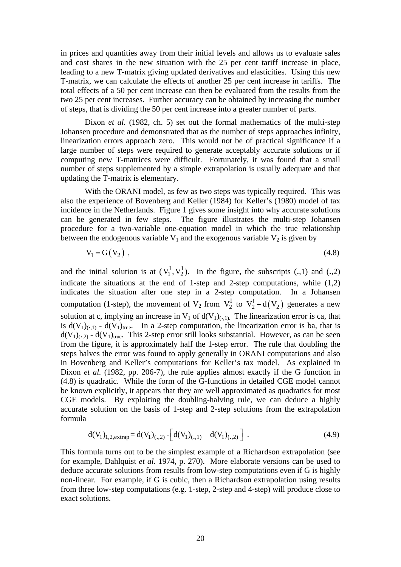in prices and quantities away from their initial levels and allows us to evaluate sales and cost shares in the new situation with the 25 per cent tariff increase in place, leading to a new T-matrix giving updated derivatives and elasticities. Using this new T-matrix, we can calculate the effects of another 25 per cent increase in tariffs. The total effects of a 50 per cent increase can then be evaluated from the results from the two 25 per cent increases. Further accuracy can be obtained by increasing the number of steps, that is dividing the 50 per cent increase into a greater number of parts.

Dixon *et al.* (1982, ch. 5) set out the formal mathematics of the multi-step Johansen procedure and demonstrated that as the number of steps approaches infinity, linearization errors approach zero. This would not be of practical significance if a large number of steps were required to generate acceptably accurate solutions or if computing new T-matrices were difficult. Fortunately, it was found that a small number of steps supplemented by a simple extrapolation is usually adequate and that updating the T-matrix is elementary.

 With the ORANI model, as few as two steps was typically required. This was also the experience of Bovenberg and Keller (1984) for Keller's (1980) model of tax incidence in the Netherlands. Figure 1 gives some insight into why accurate solutions can be generated in few steps. The figure illustrates the multi-step Johansen procedure for a two-variable one-equation model in which the true relationship between the endogenous variable  $V_1$  and the exogenous variable  $V_2$  is given by

$$
V_1 = G(V_2) \tag{4.8}
$$

and the initial solution is at  $(V_1^I, V_2^I)$ . In the figure, the subscripts (.,1) and (.,2) indicate the situations at the end of 1-step and 2-step computations, while  $(1,2)$ indicates the situation after one step in a 2-step computation. In a Johansen computation (1-step), the movement of  $V_2$  from  $V_2^I$  to  $V_2^I + d(V_2)$  generates a new solution at c, implying an increase in  $V_1$  of  $d(V_1)_{(0,1)}$ . The linearization error is ca, that is  $d(V_1)_{(-,1)}$  -  $d(V_1)_{true}$ . In a 2-step computation, the linearization error is ba, that is  $d(V_1)_{(:,2)}$  -  $d(V_1)_{true}$ . This 2-step error still looks substantial. However, as can be seen from the figure, it is approximately half the 1-step error. The rule that doubling the steps halves the error was found to apply generally in ORANI computations and also in Bovenberg and Keller's computations for Keller's tax model. As explained in Dixon *et al.* (1982, pp. 206-7), the rule applies almost exactly if the G function in (4.8) is quadratic. While the form of the G-functions in detailed CGE model cannot be known explicitly, it appears that they are well approximated as quadratics for most CGE models. By exploiting the doubling-halving rule, we can deduce a highly accurate solution on the basis of 1-step and 2-step solutions from the extrapolation formula

$$
d(V_1)_{1,2, \text{extrap}} = d(V_1)_{(0,2)} - \left[ d(V_1)_{(0,1)} - d(V_1)_{(0,2)} \right]. \tag{4.9}
$$

This formula turns out to be the simplest example of a Richardson extrapolation (see for example, Dahlquist *et al.* 1974, p. 270). More elaborate versions can be used to deduce accurate solutions from results from low-step computations even if G is highly non-linear. For example, if G is cubic, then a Richardson extrapolation using results from three low-step computations (e.g. 1-step, 2-step and 4-step) will produce close to exact solutions.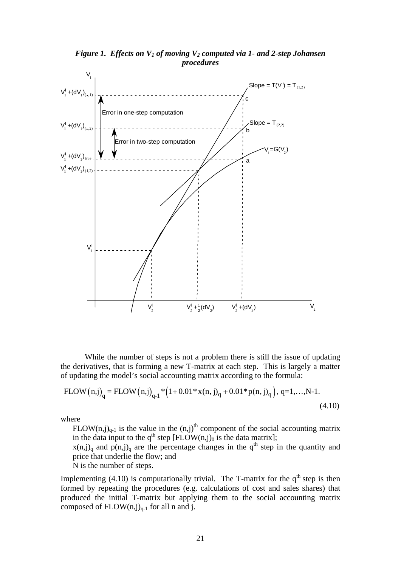

*Figure 1. Effects on V<sub>1</sub> of moving V<sub>2</sub> computed via 1- and 2-step Johansen procedures* 

 While the number of steps is not a problem there is still the issue of updating the derivatives, that is forming a new T-matrix at each step. This is largely a matter of updating the model's social accounting matrix according to the formula:

FLOW (n,j)<sub>q</sub> = FLOW (n,j)<sub>q-1</sub><sup>\*</sup>(1+0.01\*x(n,j)<sub>q</sub> +0.01\*p(n,j)<sub>q</sub>), q=1,...,N-1. 
$$
(4.10)
$$

where

FLOW(n,j)<sub>q-1</sub> is the value in the  $(n,j)$ <sup>th</sup> component of the social accounting matrix in the data input to the  $q^{th}$  step [FLOW(n,j)<sub>0</sub> is the data matrix];

 $x(n,j)_q$  and  $p(n,j)_q$  are the percentage changes in the  $q<sup>th</sup>$  step in the quantity and price that underlie the flow; and

N is the number of steps.

Implementing  $(4.10)$  is computationally trivial. The T-matrix for the  $q<sup>th</sup>$  step is then formed by repeating the procedures (e.g. calculations of cost and sales shares) that produced the initial T-matrix but applying them to the social accounting matrix composed of  $FLOW(n,j)_{q-1}$  for all n and j.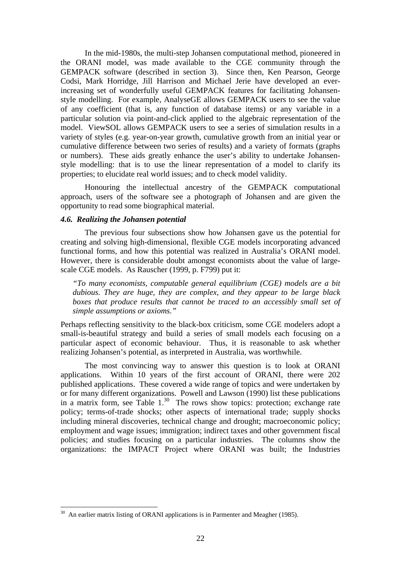In the mid-1980s, the multi-step Johansen computational method, pioneered in the ORANI model, was made available to the CGE community through the GEMPACK software (described in section 3). Since then, Ken Pearson, George Codsi, Mark Horridge, Jill Harrison and Michael Jerie have developed an everincreasing set of wonderfully useful GEMPACK features for facilitating Johansenstyle modelling. For example, AnalyseGE allows GEMPACK users to see the value of any coefficient (that is, any function of database items) or any variable in a particular solution via point-and-click applied to the algebraic representation of the model. ViewSOL allows GEMPACK users to see a series of simulation results in a variety of styles (e.g. year-on-year growth, cumulative growth from an initial year or cumulative difference between two series of results) and a variety of formats (graphs or numbers). These aids greatly enhance the user's ability to undertake Johansenstyle modelling: that is to use the linear representation of a model to clarify its properties; to elucidate real world issues; and to check model validity.

Honouring the intellectual ancestry of the GEMPACK computational approach, users of the software see a photograph of Johansen and are given the opportunity to read some biographical material.

#### *4.6. Realizing the Johansen potential*

<u>.</u>

The previous four subsections show how Johansen gave us the potential for creating and solving high-dimensional, flexible CGE models incorporating advanced functional forms, and how this potential was realized in Australia's ORANI model. However, there is considerable doubt amongst economists about the value of largescale CGE models. As Rauscher (1999, p. F799) put it:

*"To many economists, computable general equilibrium (CGE) models are a bit dubious. They are huge, they are complex, and they appear to be large black*  boxes that produce results that cannot be traced to an accessibly small set of *simple assumptions or axioms."* 

Perhaps reflecting sensitivity to the black-box criticism, some CGE modelers adopt a small-is-beautiful strategy and build a series of small models each focusing on a particular aspect of economic behaviour. Thus, it is reasonable to ask whether realizing Johansen's potential, as interpreted in Australia, was worthwhile.

 The most convincing way to answer this question is to look at ORANI applications. Within 10 years of the first account of ORANI, there were 202 published applications. These covered a wide range of topics and were undertaken by or for many different organizations. Powell and Lawson (1990) list these publications in a matrix form, see Table  $1<sup>30</sup>$  The rows show topics: protection; exchange rate policy; terms-of-trade shocks; other aspects of international trade; supply shocks including mineral discoveries, technical change and drought; macroeconomic policy; employment and wage issues; immigration; indirect taxes and other government fiscal policies; and studies focusing on a particular industries. The columns show the organizations: the IMPACT Project where ORANI was built; the Industries

 $30$  An earlier matrix listing of ORANI applications is in Parmenter and Meagher (1985).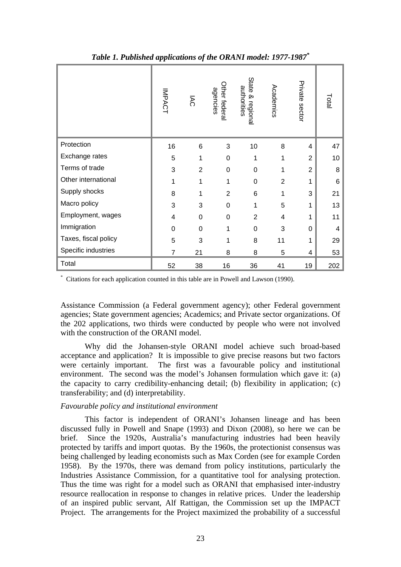|                      | <b>IMPACT</b>  | IAC            | Other federal<br>agencies | State<br>authorities<br>& regional | Academics      | Private sector | Total |
|----------------------|----------------|----------------|---------------------------|------------------------------------|----------------|----------------|-------|
| Protection           | 16             | 6              | 3                         | 10                                 | 8              | 4              | 47    |
| Exchange rates       | 5              | 1              | 0                         | 1                                  | 1              | $\overline{2}$ | 10    |
| Terms of trade       | 3              | $\overline{2}$ | 0                         | $\mathbf 0$                        | 1              | $\overline{2}$ | 8     |
| Other international  | 1              | 1              | 1                         | $\overline{0}$                     | $\overline{2}$ | 1              | 6     |
| Supply shocks        | 8              | 1              | $\overline{2}$            | 6                                  | 1              | 3              | 21    |
| Macro policy         | 3              | 3              | 0                         | 1                                  | 5              | 1              | 13    |
| Employment, wages    | $\overline{4}$ | 0              | 0                         | $\overline{2}$                     | 4              | 1              | 11    |
| Immigration          | $\mathbf 0$    | $\overline{0}$ | 1                         | $\boldsymbol{0}$                   | 3              | 0              | 4     |
| Taxes, fiscal policy | 5              | 3              | 1                         | 8                                  | 11             | 1              | 29    |
| Specific industries  | $\overline{7}$ | 21             | 8                         | 8                                  | 5              | 4              | 53    |
| Total                | 52             | 38             | 16                        | 36                                 | 41             | 19             | 202   |

#### *Table 1. Published applications of the ORANI model: 1977-1987\**

\* Citations for each application counted in this table are in Powell and Lawson (1990).

Assistance Commission (a Federal government agency); other Federal government agencies; State government agencies; Academics; and Private sector organizations. Of the 202 applications, two thirds were conducted by people who were not involved with the construction of the ORANI model.

 Why did the Johansen-style ORANI model achieve such broad-based acceptance and application? It is impossible to give precise reasons but two factors were certainly important. The first was a favourable policy and institutional environment. The second was the model's Johansen formulation which gave it: (a) the capacity to carry credibility-enhancing detail; (b) flexibility in application; (c) transferability; and (d) interpretability.

#### *Favourable policy and institutional environment*

 This factor is independent of ORANI's Johansen lineage and has been discussed fully in Powell and Snape (1993) and Dixon (2008), so here we can be brief. Since the 1920s, Australia's manufacturing industries had been heavily protected by tariffs and import quotas. By the 1960s, the protectionist consensus was being challenged by leading economists such as Max Corden (see for example Corden 1958). By the 1970s, there was demand from policy institutions, particularly the Industries Assistance Commission, for a quantitative tool for analysing protection. Thus the time was right for a model such as ORANI that emphasised inter-industry resource reallocation in response to changes in relative prices. Under the leadership of an inspired public servant, Alf Rattigan, the Commission set up the IMPACT Project. The arrangements for the Project maximized the probability of a successful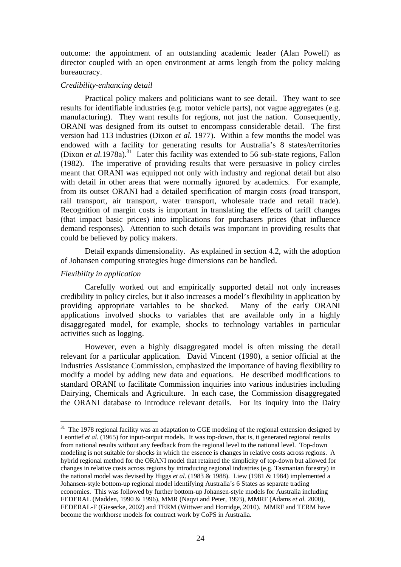outcome: the appointment of an outstanding academic leader (Alan Powell) as director coupled with an open environment at arms length from the policy making bureaucracy.

#### *Credibility-enhancing detail*

 Practical policy makers and politicians want to see detail. They want to see results for identifiable industries (e.g. motor vehicle parts), not vague aggregates (e.g. manufacturing). They want results for regions, not just the nation. Consequently, ORANI was designed from its outset to encompass considerable detail. The first version had 113 industries (Dixon *et al.* 1977). Within a few months the model was endowed with a facility for generating results for Australia's 8 states/territories (Dixon *et al.*1978a).<sup>31</sup> Later this facility was extended to 56 sub-state regions, Fallon (1982). The imperative of providing results that were persuasive in policy circles meant that ORANI was equipped not only with industry and regional detail but also with detail in other areas that were normally ignored by academics. For example, from its outset ORANI had a detailed specification of margin costs (road transport, rail transport, air transport, water transport, wholesale trade and retail trade). Recognition of margin costs is important in translating the effects of tariff changes (that impact basic prices) into implications for purchasers prices (that influence demand responses). Attention to such details was important in providing results that could be believed by policy makers.

 Detail expands dimensionality. As explained in section 4.2, with the adoption of Johansen computing strategies huge dimensions can be handled.

#### *Flexibility in application*

1

 Carefully worked out and empirically supported detail not only increases credibility in policy circles, but it also increases a model's flexibility in application by providing appropriate variables to be shocked. Many of the early ORANI applications involved shocks to variables that are available only in a highly disaggregated model, for example, shocks to technology variables in particular activities such as logging.

 However, even a highly disaggregated model is often missing the detail relevant for a particular application. David Vincent (1990), a senior official at the Industries Assistance Commission, emphasized the importance of having flexibility to modify a model by adding new data and equations. He described modifications to standard ORANI to facilitate Commission inquiries into various industries including Dairying, Chemicals and Agriculture. In each case, the Commission disaggregated the ORANI database to introduce relevant details. For its inquiry into the Dairy

<sup>&</sup>lt;sup>31</sup> The 1978 regional facility was an adaptation to CGE modeling of the regional extension designed by Leontief *et al.* (1965) for input-output models. It was top-down, that is, it generated regional results from national results without any feedback from the regional level to the national level. Top-down modeling is not suitable for shocks in which the essence is changes in relative costs across regions. A hybrid regional method for the ORANI model that retained the simplicity of top-down but allowed for changes in relative costs across regions by introducing regional industries (e.g. Tasmanian forestry) in the national model was devised by Higgs *et al.* (1983 & 1988). Liew (1981 & 1984) implemented a Johansen-style bottom-up regional model identifying Australia's 6 States as separate trading economies. This was followed by further bottom-up Johansen-style models for Australia including FEDERAL (Madden, 1990 & 1996), MMR (Naqvi and Peter, 1993), MMRF (Adams *et al.* 2000), FEDERAL-F (Giesecke, 2002) and TERM (Wittwer and Horridge, 2010). MMRF and TERM have become the workhorse models for contract work by CoPS in Australia.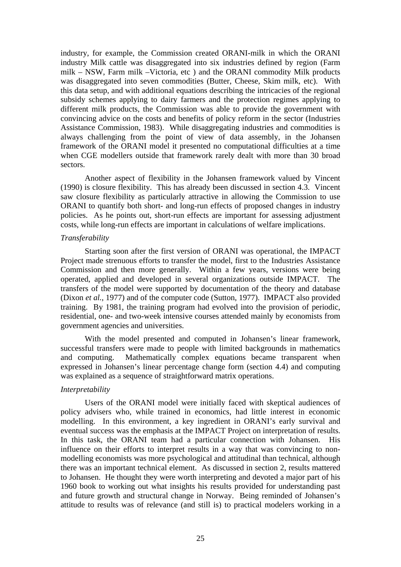industry, for example, the Commission created ORANI-milk in which the ORANI industry Milk cattle was disaggregated into six industries defined by region (Farm milk – NSW, Farm milk –Victoria, etc ) and the ORANI commodity Milk products was disaggregated into seven commodities (Butter, Cheese, Skim milk, etc). With this data setup, and with additional equations describing the intricacies of the regional subsidy schemes applying to dairy farmers and the protection regimes applying to different milk products, the Commission was able to provide the government with convincing advice on the costs and benefits of policy reform in the sector (Industries Assistance Commission, 1983). While disaggregating industries and commodities is always challenging from the point of view of data assembly, in the Johansen framework of the ORANI model it presented no computational difficulties at a time when CGE modellers outside that framework rarely dealt with more than 30 broad sectors.

 Another aspect of flexibility in the Johansen framework valued by Vincent (1990) is closure flexibility. This has already been discussed in section 4.3. Vincent saw closure flexibility as particularly attractive in allowing the Commission to use ORANI to quantify both short- and long-run effects of proposed changes in industry policies. As he points out, short-run effects are important for assessing adjustment costs, while long-run effects are important in calculations of welfare implications.

#### *Transferability*

Starting soon after the first version of ORANI was operational, the IMPACT Project made strenuous efforts to transfer the model, first to the Industries Assistance Commission and then more generally. Within a few years, versions were being operated, applied and developed in several organizations outside IMPACT. The transfers of the model were supported by documentation of the theory and database (Dixon *et al.*, 1977) and of the computer code (Sutton, 1977). IMPACT also provided training. By 1981, the training program had evolved into the provision of periodic, residential, one- and two-week intensive courses attended mainly by economists from government agencies and universities.

 With the model presented and computed in Johansen's linear framework, successful transfers were made to people with limited backgrounds in mathematics and computing. Mathematically complex equations became transparent when expressed in Johansen's linear percentage change form (section 4.4) and computing was explained as a sequence of straightforward matrix operations.

#### *Interpretability*

 Users of the ORANI model were initially faced with skeptical audiences of policy advisers who, while trained in economics, had little interest in economic modelling. In this environment, a key ingredient in ORANI's early survival and eventual success was the emphasis at the IMPACT Project on interpretation of results. In this task, the ORANI team had a particular connection with Johansen. His influence on their efforts to interpret results in a way that was convincing to nonmodelling economists was more psychological and attitudinal than technical, although there was an important technical element. As discussed in section 2, results mattered to Johansen. He thought they were worth interpreting and devoted a major part of his 1960 book to working out what insights his results provided for understanding past and future growth and structural change in Norway. Being reminded of Johansen's attitude to results was of relevance (and still is) to practical modelers working in a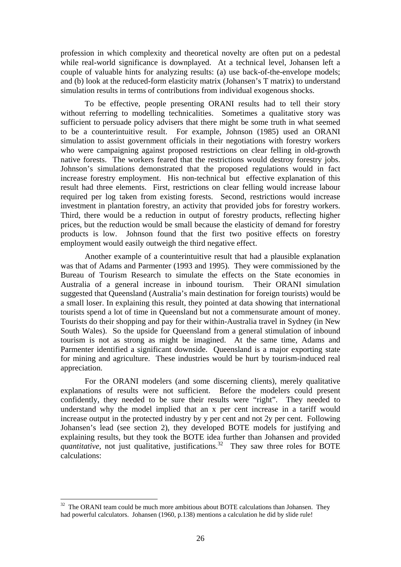profession in which complexity and theoretical novelty are often put on a pedestal while real-world significance is downplayed. At a technical level, Johansen left a couple of valuable hints for analyzing results: (a) use back-of-the-envelope models; and (b) look at the reduced-form elasticity matrix (Johansen's T matrix) to understand simulation results in terms of contributions from individual exogenous shocks.

 To be effective, people presenting ORANI results had to tell their story without referring to modelling technicalities. Sometimes a qualitative story was sufficient to persuade policy advisers that there might be some truth in what seemed to be a counterintuitive result. For example, Johnson (1985) used an ORANI simulation to assist government officials in their negotiations with forestry workers who were campaigning against proposed restrictions on clear felling in old-growth native forests. The workers feared that the restrictions would destroy forestry jobs. Johnson's simulations demonstrated that the proposed regulations would in fact increase forestry employment. His non-technical but effective explanation of this result had three elements. First, restrictions on clear felling would increase labour required per log taken from existing forests. Second, restrictions would increase investment in plantation forestry, an activity that provided jobs for forestry workers. Third, there would be a reduction in output of forestry products, reflecting higher prices, but the reduction would be small because the elasticity of demand for forestry products is low. Johnson found that the first two positive effects on forestry employment would easily outweigh the third negative effect.

 Another example of a counterintuitive result that had a plausible explanation was that of Adams and Parmenter (1993 and 1995). They were commissioned by the Bureau of Tourism Research to simulate the effects on the State economies in Australia of a general increase in inbound tourism. Their ORANI simulation suggested that Queensland (Australia's main destination for foreign tourists) would be a small loser. In explaining this result, they pointed at data showing that international tourists spend a lot of time in Queensland but not a commensurate amount of money. Tourists do their shopping and pay for their within-Australia travel in Sydney (in New South Wales). So the upside for Queensland from a general stimulation of inbound tourism is not as strong as might be imagined. At the same time, Adams and Parmenter identified a significant downside. Queensland is a major exporting state for mining and agriculture. These industries would be hurt by tourism-induced real appreciation.

 For the ORANI modelers (and some discerning clients), merely qualitative explanations of results were not sufficient. Before the modelers could present confidently, they needed to be sure their results were "right". They needed to understand why the model implied that an x per cent increase in a tariff would increase output in the protected industry by y per cent and not 2y per cent. Following Johansen's lead (see section 2), they developed BOTE models for justifying and explaining results, but they took the BOTE idea further than Johansen and provided *quantitative*, not just qualitative, justifications.<sup>32</sup> They saw three roles for BOTE calculations:

 $32$  The ORANI team could be much more ambitious about BOTE calculations than Johansen. They had powerful calculators. Johansen (1960, p.138) mentions a calculation he did by slide rule!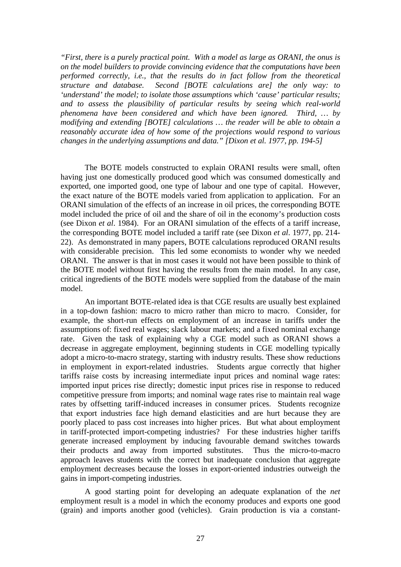*"First, there is a purely practical point. With a model as large as ORANI, the onus is on the model builders to provide convincing evidence that the computations have been performed correctly, i.e., that the results do in fact follow from the theoretical structure and database. Second [BOTE calculations are] the only way: to 'understand' the model; to isolate those assumptions which 'cause' particular results; and to assess the plausibility of particular results by seeing which real-world phenomena have been considered and which have been ignored. Third, … by modifying and extending [BOTE] calculations … the reader will be able to obtain a reasonably accurate idea of how some of the projections would respond to various changes in the underlying assumptions and data." [Dixon et al. 1977, pp. 194-5]*

 The BOTE models constructed to explain ORANI results were small, often having just one domestically produced good which was consumed domestically and exported, one imported good, one type of labour and one type of capital. However, the exact nature of the BOTE models varied from application to application. For an ORANI simulation of the effects of an increase in oil prices, the corresponding BOTE model included the price of oil and the share of oil in the economy's production costs (see Dixon *et al*. 1984). For an ORANI simulation of the effects of a tariff increase, the corresponding BOTE model included a tariff rate (see Dixon *et al*. 1977, pp. 214- 22). As demonstrated in many papers, BOTE calculations reproduced ORANI results with considerable precision. This led some economists to wonder why we needed ORANI. The answer is that in most cases it would not have been possible to think of the BOTE model without first having the results from the main model. In any case, critical ingredients of the BOTE models were supplied from the database of the main model.

 An important BOTE-related idea is that CGE results are usually best explained in a top-down fashion: macro to micro rather than micro to macro. Consider, for example, the short-run effects on employment of an increase in tariffs under the assumptions of: fixed real wages; slack labour markets; and a fixed nominal exchange rate. Given the task of explaining why a CGE model such as ORANI shows a decrease in aggregate employment, beginning students in CGE modelling typically adopt a micro-to-macro strategy, starting with industry results. These show reductions in employment in export-related industries. Students argue correctly that higher tariffs raise costs by increasing intermediate input prices and nominal wage rates: imported input prices rise directly; domestic input prices rise in response to reduced competitive pressure from imports; and nominal wage rates rise to maintain real wage rates by offsetting tariff-induced increases in consumer prices. Students recognize that export industries face high demand elasticities and are hurt because they are poorly placed to pass cost increases into higher prices. But what about employment in tariff-protected import-competing industries? For these industries higher tariffs generate increased employment by inducing favourable demand switches towards their products and away from imported substitutes. Thus the micro-to-macro approach leaves students with the correct but inadequate conclusion that aggregate employment decreases because the losses in export-oriented industries outweigh the gains in import-competing industries.

 A good starting point for developing an adequate explanation of the *net* employment result is a model in which the economy produces and exports one good (grain) and imports another good (vehicles). Grain production is via a constant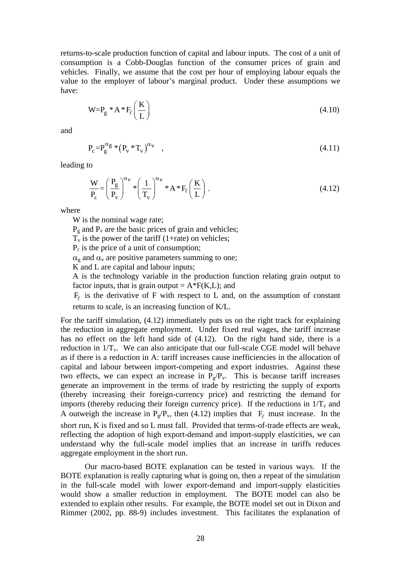returns-to-scale production function of capital and labour inputs. The cost of a unit of consumption is a Cobb-Douglas function of the consumer prices of grain and vehicles. Finally, we assume that the cost per hour of employing labour equals the value to the employer of labour's marginal product. Under these assumptions we have:

$$
W = P_g * A * F_\ell \left(\frac{K}{L}\right) \tag{4.10}
$$

and

$$
P_c = P_g^{\alpha g} * (P_v * T_v)^{\alpha_v} \quad , \tag{4.11}
$$

leading to

$$
\frac{W}{P_c} = \left(\frac{P_g}{P_v}\right)^{\alpha_V} * \left(\frac{1}{T_v}\right)^{\alpha_V} * A * F_\ell\left(\frac{K}{L}\right).
$$
\n(4.12)

where

W is the nominal wage rate;

 $P_g$  and  $P_v$  are the basic prices of grain and vehicles;

 $T<sub>v</sub>$  is the power of the tariff (1+rate) on vehicles;

Pc is the price of a unit of consumption;

 $\alpha_g$  and  $\alpha_v$  are positive parameters summing to one;

K and L are capital and labour inputs;

A is the technology variable in the production function relating grain output to factor inputs, that is grain output =  $A*F(K,L)$ ; and

 $F_{\ell}$  is the derivative of F with respect to L and, on the assumption of constant returns to scale, is an increasing function of K/L.

For the tariff simulation, (4.12) immediately puts us on the right track for explaining the reduction in aggregate employment. Under fixed real wages, the tariff increase has no effect on the left hand side of (4.12). On the right hand side, there is a reduction in  $1/T_v$ . We can also anticipate that our full-scale CGE model will behave as if there is a reduction in A: tariff increases cause inefficiencies in the allocation of capital and labour between import-competing and export industries. Against these two effects, we can expect an increase in  $P_g/P_v$ . This is because tariff increases generate an improvement in the terms of trade by restricting the supply of exports (thereby increasing their foreign-currency price) and restricting the demand for imports (thereby reducing their foreign currency price). If the reductions in  $1/T_v$  and A outweigh the increase in  $P_g/P_v$ , then (4.12) implies that  $F_\ell$  must increase. In the short run, K is fixed and so L must fall. Provided that terms-of-trade effects are weak, reflecting the adoption of high export-demand and import-supply elasticities, we can understand why the full-scale model implies that an increase in tariffs reduces aggregate employment in the short run.

 Our macro-based BOTE explanation can be tested in various ways. If the BOTE explanation is really capturing what is going on, then a repeat of the simulation in the full-scale model with lower export-demand and import-supply elasticities would show a smaller reduction in employment. The BOTE model can also be extended to explain other results. For example, the BOTE model set out in Dixon and Rimmer (2002, pp. 88-9) includes investment. This facilitates the explanation of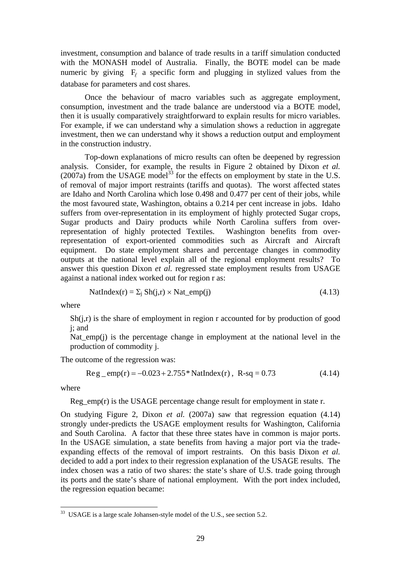investment, consumption and balance of trade results in a tariff simulation conducted with the MONASH model of Australia. Finally, the BOTE model can be made numeric by giving  $F_A$  a specific form and plugging in stylized values from the database for parameters and cost shares.

 Once the behaviour of macro variables such as aggregate employment, consumption, investment and the trade balance are understood via a BOTE model, then it is usually comparatively straightforward to explain results for micro variables. For example, if we can understand why a simulation shows a reduction in aggregate investment, then we can understand why it shows a reduction output and employment in the construction industry.

 Top-down explanations of micro results can often be deepened by regression analysis. Consider, for example, the results in Figure 2 obtained by Dixon *et al.*  $(2007a)$  from the USAGE model<sup>33</sup> for the effects on employment by state in the U.S. of removal of major import restraints (tariffs and quotas). The worst affected states are Idaho and North Carolina which lose 0.498 and 0.477 per cent of their jobs, while the most favoured state, Washington, obtains a 0.214 per cent increase in jobs. Idaho suffers from over-representation in its employment of highly protected Sugar crops, Sugar products and Dairy products while North Carolina suffers from overrepresentation of highly protected Textiles. Washington benefits from overrepresentation of export-oriented commodities such as Aircraft and Aircraft equipment. Do state employment shares and percentage changes in commodity outputs at the national level explain all of the regional employment results? To answer this question Dixon *et al.* regressed state employment results from USAGE against a national index worked out for region r as:

$$
NatIndex(r) = \sum_{j} Sh(j,r) \times Nat\_emp(j)
$$
 (4.13)

where

 $Sh(i,r)$  is the share of employment in region r accounted for by production of good j; and

Nat  $emp(i)$  is the percentage change in employment at the national level in the production of commodity j.

The outcome of the regression was:

$$
Reg\_emp(r) = -0.023 + 2.755 * NatIndex(r), R-sq = 0.73
$$
\n(4.14)

where

<u>.</u>

Reg\_emp $(r)$  is the USAGE percentage change result for employment in state r.

On studying Figure 2, Dixon *et al.* (2007a) saw that regression equation (4.14) strongly under-predicts the USAGE employment results for Washington, California and South Carolina. A factor that these three states have in common is major ports. In the USAGE simulation, a state benefits from having a major port via the tradeexpanding effects of the removal of import restraints. On this basis Dixon *et al.* decided to add a port index to their regression explanation of the USAGE results. The index chosen was a ratio of two shares: the state's share of U.S. trade going through its ports and the state's share of national employment. With the port index included, the regression equation became:

 $33$  USAGE is a large scale Johansen-style model of the U.S., see section 5.2.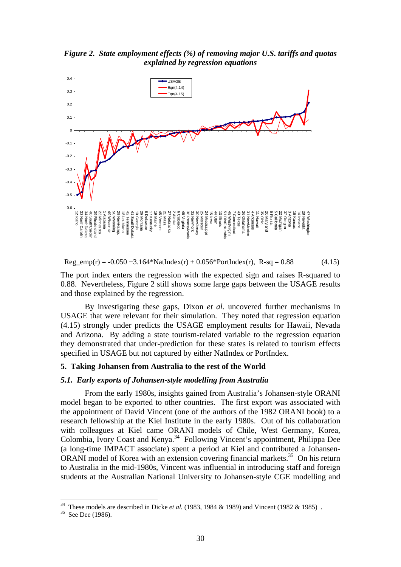*Figure 2. State employment effects (%) of removing major U.S. tariffs and quotas explained by regression equations* 



Reg\_emp(r) = -0.050 +3.164\*NatIndex(r) + 0.056\*PortIndex(r), R-sq = 0.88 (4.15)

The port index enters the regression with the expected sign and raises R-squared to 0.88. Nevertheless, Figure 2 still shows some large gaps between the USAGE results and those explained by the regression.

By investigating these gaps, Dixon *et al.* uncovered further mechanisms in USAGE that were relevant for their simulation. They noted that regression equation (4.15) strongly under predicts the USAGE employment results for Hawaii, Nevada and Arizona. By adding a state tourism-related variable to the regression equation they demonstrated that under-prediction for these states is related to tourism effects specified in USAGE but not captured by either NatIndex or PortIndex.

#### **5. Taking Johansen from Australia to the rest of the World**

#### *5.1. Early exports of Johansen-style modelling from Australia*

 From the early 1980s, insights gained from Australia's Johansen-style ORANI model began to be exported to other countries. The first export was associated with the appointment of David Vincent (one of the authors of the 1982 ORANI book) to a research fellowship at the Kiel Institute in the early 1980s. Out of his collaboration with colleagues at Kiel came ORANI models of Chile, West Germany, Korea, Colombia, Ivory Coast and Kenya.34 Following Vincent's appointment, Philippa Dee (a long-time IMPACT associate) spent a period at Kiel and contributed a Johansen-ORANI model of Korea with an extension covering financial markets.<sup>35</sup> On his return to Australia in the mid-1980s, Vincent was influential in introducing staff and foreign students at the Australian National University to Johansen-style CGE modelling and

<sup>&</sup>lt;sup>34</sup> These models are described in Dicke *et al.* (1983, 1984 & 1989) and Vincent (1982 & 1985).<br><sup>35</sup> See Dee (1986).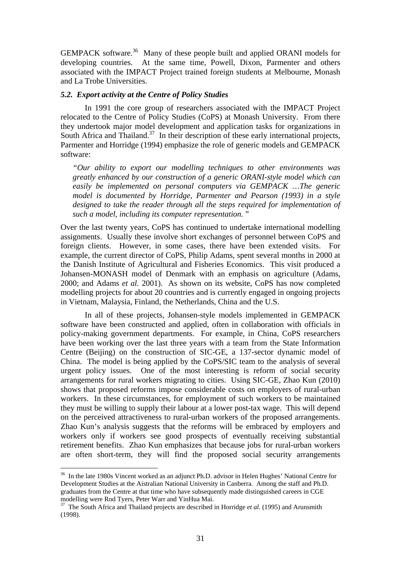GEMPACK software.<sup>36</sup> Many of these people built and applied ORANI models for developing countries. At the same time, Powell, Dixon, Parmenter and others associated with the IMPACT Project trained foreign students at Melbourne, Monash and La Trobe Universities.

#### *5.2. Export activity at the Centre of Policy Studies*

 In 1991 the core group of researchers associated with the IMPACT Project relocated to the Centre of Policy Studies (CoPS) at Monash University. From there they undertook major model development and application tasks for organizations in South Africa and Thailand.<sup>37</sup> In their description of these early international projects, Parmenter and Horridge (1994) emphasize the role of generic models and GEMPACK software:

*"Our ability to export our modelling techniques to other environments was greatly enhanced by our construction of a generic ORANI-style model which can easily be implemented on personal computers via GEMPACK …The generic model is documented by Horridge, Parmenter and Pearson (1993) in a style designed to take the reader through all the steps required for implementation of such a model, including its computer representation.* "

Over the last twenty years, CoPS has continued to undertake international modelling assignments. Usually these involve short exchanges of personnel between CoPS and foreign clients. However, in some cases, there have been extended visits. For example, the current director of CoPS, Philip Adams, spent several months in 2000 at the Danish Institute of Agricultural and Fisheries Economics. This visit produced a Johansen-MONASH model of Denmark with an emphasis on agriculture (Adams, 2000; and Adams *et al.* 2001). As shown on its website, CoPS has now completed modelling projects for about 20 countries and is currently engaged in ongoing projects in Vietnam, Malaysia, Finland, the Netherlands, China and the U.S.

In all of these projects, Johansen-style models implemented in GEMPACK software have been constructed and applied, often in collaboration with officials in policy-making government departments. For example, in China, CoPS researchers have been working over the last three years with a team from the State Information Centre (Beijing) on the construction of SIC-GE, a 137-sector dynamic model of China. The model is being applied by the CoPS/SIC team to the analysis of several urgent policy issues. One of the most interesting is reform of social security arrangements for rural workers migrating to cities. Using SIC-GE, Zhao Kun (2010) shows that proposed reforms impose considerable costs on employers of rural-urban workers. In these circumstances, for employment of such workers to be maintained they must be willing to supply their labour at a lower post-tax wage. This will depend on the perceived attractiveness to rural-urban workers of the proposed arrangements. Zhao Kun's analysis suggests that the reforms will be embraced by employers and workers only if workers see good prospects of eventually receiving substantial retirement benefits. Zhao Kun emphasizes that because jobs for rural-urban workers are often short-term, they will find the proposed social security arrangements

<sup>&</sup>lt;sup>36</sup> In the late 1980s Vincent worked as an adjunct Ph.D. advisor in Helen Hughes' National Centre for Development Studies at the Aistralian National University in Canberra. Among the staff and Ph.D. graduates from the Centre at that time who have subsequently made distinguished careers in CGE modelling were Rod Tyers, Peter Warr and YinHua Mai.

<sup>&</sup>lt;sup>37</sup> The South Africa and Thailand projects are described in Horridge *et al.* (1995) and Arunsmith (1998).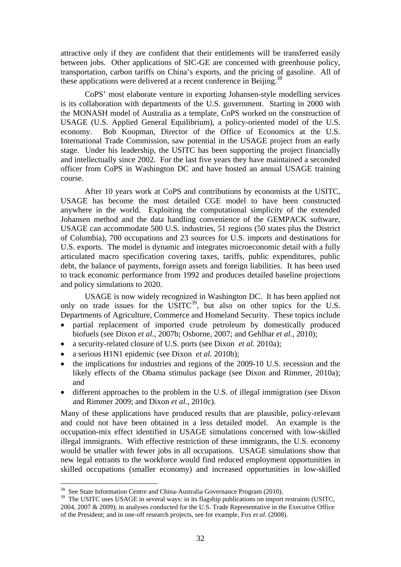attractive only if they are confident that their entitlements will be transferred easily between jobs. Other applications of SIC-GE are concerned with greenhouse policy, transportation, carbon tariffs on China's exports, and the pricing of gasoline. All of these applications were delivered at a recent conference in Beijing.<sup>38</sup>

CoPS' most elaborate venture in exporting Johansen-style modelling services is its collaboration with departments of the U.S. government. Starting in 2000 with the MONASH model of Australia as a template, CoPS worked on the construction of USAGE (U.S. Applied General Equilibrium), a policy-oriented model of the U.S. economy. Bob Koopman, Director of the Office of Economics at the U.S. International Trade Commission, saw potential in the USAGE project from an early stage. Under his leadership, the USITC has been supporting the project financially and intellectually since 2002. For the last five years they have maintained a seconded officer from CoPS in Washington DC and have hosted an annual USAGE training course.

After 10 years work at CoPS and contributions by economists at the USITC, USAGE has become the most detailed CGE model to have been constructed anywhere in the world. Exploiting the computational simplicity of the extended Johansen method and the data handling convenience of the GEMPACK software, USAGE can accommodate 500 U.S. industries, 51 regions (50 states plus the District of Columbia), 700 occupations and 23 sources for U.S. imports and destinations for U.S. exports. The model is dynamic and integrates microeconomic detail with a fully articulated macro specification covering taxes, tariffs, public expenditures, public debt, the balance of payments, foreign assets and foreign liabilities. It has been used to track economic performance from 1992 and produces detailed baseline projections and policy simulations to 2020.

USAGE is now widely recognized in Washington DC. It has been applied not only on trade issues for the  $\overline{USTTC}^{39}$ , but also on other topics for the U.S. Departments of Agriculture, Commerce and Homeland Security. These topics include

- partial replacement of imported crude petroleum by domestically produced biofuels (see Dixon *et al.*, 2007b; Osborne, 2007; and Gehlhar *et al.*, 2010);
- a security-related closure of U.S. ports (see Dixon *et al.* 2010a);
- a serious H1N1 epidemic (see Dixon *et al.* 2010b);
- the implications for industries and regions of the 2009-10 U.S. recession and the likely effects of the Obama stimulus package (see Dixon and Rimmer, 2010a); and
- different approaches to the problem in the U.S. of illegal immigration (see Dixon and Rimmer 2009; and Dixon *et al.*, 2010c).

Many of these applications have produced results that are plausible, policy-relevant and could not have been obtained in a less detailed model. An example is the occupation-mix effect identified in USAGE simulations concerned with low-skilled illegal immigrants. With effective restriction of these immigrants, the U.S. economy would be smaller with fewer jobs in all occupations. USAGE simulations show that new legal entrants to the workforce would find reduced employment opportunities in skilled occupations (smaller economy) and increased opportunities in low-skilled

<u>.</u>

<sup>&</sup>lt;sup>38</sup> See State Information Centre and China-Australia Governance Program (2010).

<sup>&</sup>lt;sup>39</sup> The USITC uses USAGE in several ways: in its flagship publications on import restraints (USITC, 2004, 2007 & 2009); in analyses conducted for the U.S. Trade Representative in the Executive Office of the President; and in one-off research projects, see for example, Fox *et al*. (2008).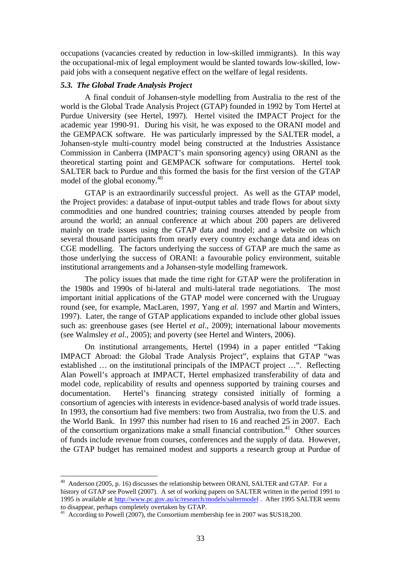occupations (vacancies created by reduction in low-skilled immigrants). In this way the occupational-mix of legal employment would be slanted towards low-skilled, lowpaid jobs with a consequent negative effect on the welfare of legal residents.

#### *5.3. The Global Trade Analysis Project*

A final conduit of Johansen-style modelling from Australia to the rest of the world is the Global Trade Analysis Project (GTAP) founded in 1992 by Tom Hertel at Purdue University (see Hertel, 1997). Hertel visited the IMPACT Project for the academic year 1990-91. During his visit, he was exposed to the ORANI model and the GEMPACK software. He was particularly impressed by the SALTER model, a Johansen-style multi-country model being constructed at the Industries Assistance Commission in Canberra (IMPACT's main sponsoring agency) using ORANI as the theoretical starting point and GEMPACK software for computations. Hertel took SALTER back to Purdue and this formed the basis for the first version of the GTAP model of the global economy.<sup>40</sup>

 GTAP is an extraordinarily successful project. As well as the GTAP model, the Project provides: a database of input-output tables and trade flows for about sixty commodities and one hundred countries; training courses attended by people from around the world; an annual conference at which about 200 papers are delivered mainly on trade issues using the GTAP data and model; and a website on which several thousand participants from nearly every country exchange data and ideas on CGE modelling. The factors underlying the success of GTAP are much the same as those underlying the success of ORANI: a favourable policy environment, suitable institutional arrangements and a Johansen-style modelling framework.

The policy issues that made the time right for GTAP were the proliferation in the 1980s and 1990s of bi-lateral and multi-lateral trade negotiations. The most important initial applications of the GTAP model were concerned with the Uruguay round (see, for example, MacLaren, 1997, Yang *et al.* 1997 and Martin and Winters, 1997). Later, the range of GTAP applications expanded to include other global issues such as: greenhouse gases (see Hertel *et al*., 2009); international labour movements (see Walmsley *et al.*, 2005); and poverty (see Hertel and Winters, 2006).

 On institutional arrangements, Hertel (1994) in a paper entitled "Taking IMPACT Abroad: the Global Trade Analysis Project", explains that GTAP "was established … on the institutional principals of the IMPACT project …". Reflecting Alan Powell's approach at IMPACT, Hertel emphasized transferability of data and model code, replicability of results and openness supported by training courses and documentation. Hertel's financing strategy consisted initially of forming a consortium of agencies with interests in evidence-based analysis of world trade issues. In 1993, the consortium had five members: two from Australia, two from the U.S. and the World Bank. In 1997 this number had risen to 16 and reached 25 in 2007. Each of the consortium organizations make a small financial contribution.<sup>41</sup> Other sources of funds include revenue from courses, conferences and the supply of data. However, the GTAP budget has remained modest and supports a research group at Purdue of

<sup>&</sup>lt;sup>40</sup> Anderson (2005, p. 16) discusses the relationship between ORANI, SALTER and GTAP. For a history of GTAP see Powell (2007). A set of working papers on SALTER written in the period 1991 to 1995 is available at http://www.pc.gov.au/ic/research/models/saltermodel . After 1995 SALTER seems to disappear, perhaps completely overtaken by GTAP.

<sup>&</sup>lt;sup>41</sup> According to Powell (2007), the Consortium membership fee in 2007 was \$US18,200.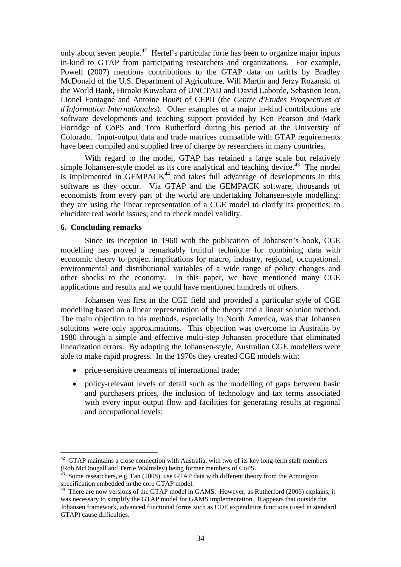only about seven people.<sup>42</sup> Hertel's particular forte has been to organize major inputs in-kind to GTAP from participating researchers and organizations. For example, Powell (2007) mentions contributions to the GTAP data on tariffs by Bradley McDonald of the U.S. Department of Agriculture, Will Martin and Jerzy Rozanski of the World Bank, Hiroaki Kuwahara of UNCTAD and David Laborde, Sebastien Jean, Lionel Fontagné and Antoine Bouët of CEPII (the *Centre d'Etudes Prospectives et d'Information Internationales*). Other examples of a major in-kind contributions are software developments and teaching support provided by Ken Pearson and Mark Horridge of CoPS and Tom Rutherford during his period at the University of Colorado. Input-output data and trade matrices compatible with GTAP requirements have been compiled and supplied free of charge by researchers in many countries.

With regard to the model, GTAP has retained a large scale but relatively simple Johansen-style model as its core analytical and teaching device. $43$  The model is implemented in  $GEMPACK^{44}$  and takes full advantage of developments in this software as they occur. Via GTAP and the GEMPACK software, thousands of economists from every part of the world are undertaking Johansen-style modelling: they are using the linear representation of a CGE model to clarify its properties; to elucidate real world issues; and to check model validity.

#### **6. Concluding remarks**

<u>.</u>

 Since its inception in 1960 with the publication of Johansen's book, CGE modelling has proved a remarkably fruitful technique for combining data with economic theory to project implications for macro, industry, regional, occupational, environmental and distributional variables of a wide range of policy changes and other shocks to the economy. In this paper, we have mentioned many CGE applications and results and we could have mentioned hundreds of others.

 Johansen was first in the CGE field and provided a particular style of CGE modelling based on a linear representation of the theory and a linear solution method. The main objection to his methods, especially in North America, was that Johansen solutions were only approximations. This objection was overcome in Australia by 1980 through a simple and effective multi-step Johansen procedure that eliminated linearization errors. By adopting the Johansen-style, Australian CGE modellers were able to make rapid progress. In the 1970s they created CGE models with:

- price-sensitive treatments of international trade;
- policy-relevant levels of detail such as the modelling of gaps between basic and purchasers prices, the inclusion of technology and tax terms associated with every input-output flow and facilities for generating results at regional and occupational levels;

 $42$  GTAP maintains a close connection with Australia, with two of its key long-term staff members (Rob McDougall and Terrie Walmsley) being former members of CoPS.

Some researchers, e.g. Fan (2008), use GTAP data with different theory from the Armington specification embedded in the core GTAP model.

There are now versions of the GTAP model in GAMS. However, as Rutherford (2006) explains, it was necessary to simplify the GTAP model for GAMS implementation. It appears that outside the Johansen framework, advanced functional forms such as CDE expenditure functions (used in standard GTAP) cause difficulties.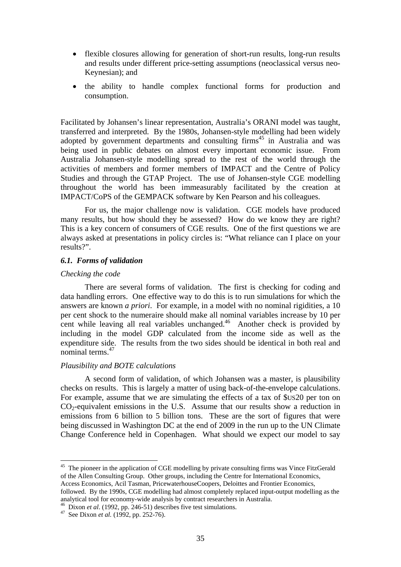- flexible closures allowing for generation of short-run results, long-run results and results under different price-setting assumptions (neoclassical versus neo-Keynesian); and
- the ability to handle complex functional forms for production and consumption.

Facilitated by Johansen's linear representation, Australia's ORANI model was taught, transferred and interpreted. By the 1980s, Johansen-style modelling had been widely adopted by government departments and consulting  $\lim_{n \to \infty} 45$  in Australia and was being used in public debates on almost every important economic issue. From Australia Johansen-style modelling spread to the rest of the world through the activities of members and former members of IMPACT and the Centre of Policy Studies and through the GTAP Project. The use of Johansen-style CGE modelling throughout the world has been immeasurably facilitated by the creation at IMPACT/CoPS of the GEMPACK software by Ken Pearson and his colleagues.

 For us, the major challenge now is validation. CGE models have produced many results, but how should they be assessed? How do we know they are right? This is a key concern of consumers of CGE results. One of the first questions we are always asked at presentations in policy circles is: "What reliance can I place on your results?".

#### *6.1. Forms of validation*

#### *Checking the code*

 There are several forms of validation. The first is checking for coding and data handling errors. One effective way to do this is to run simulations for which the answers are known *a priori*. For example, in a model with no nominal rigidities, a 10 per cent shock to the numeraire should make all nominal variables increase by 10 per cent while leaving all real variables unchanged.<sup>46</sup> Another check is provided by including in the model GDP calculated from the income side as well as the expenditure side. The results from the two sides should be identical in both real and nominal terms.<sup>47</sup>

#### *Plausibility and BOTE calculations*

 A second form of validation, of which Johansen was a master, is plausibility checks on results. This is largely a matter of using back-of-the-envelope calculations. For example, assume that we are simulating the effects of a tax of \$US20 per ton on  $CO<sub>2</sub>$ -equivalent emissions in the U.S. Assume that our results show a reduction in emissions from 6 billion to 5 billion tons. These are the sort of figures that were being discussed in Washington DC at the end of 2009 in the run up to the UN Climate Change Conference held in Copenhagen. What should we expect our model to say

 $45$  The pioneer in the application of CGE modelling by private consulting firms was Vince FitzGerald of the Allen Consulting Group. Other groups, including the Centre for International Economics, Access Economics, Acil Tasman, PricewaterhouseCoopers, Deloittes and Frontier Economics, followed. By the 1990s, CGE modelling had almost completely replaced input-output modelling as the

analytical tool for economy-wide analysis by contract researchers in Australia. 46 Dixon *et al*. (1992, pp. 246-51) describes five test simulations. 47 See Dixon *et al.* (1992, pp. 252-76).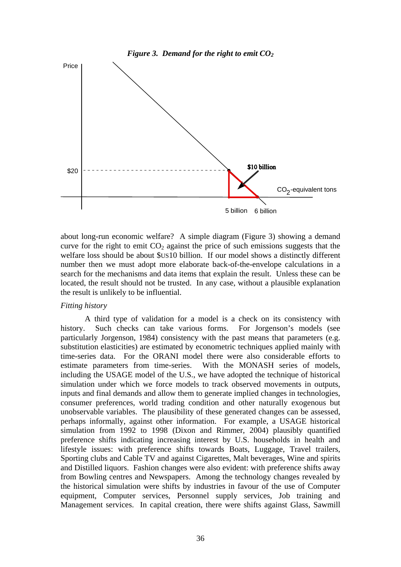

about long-run economic welfare? A simple diagram (Figure 3) showing a demand curve for the right to emit  $CO<sub>2</sub>$  against the price of such emissions suggests that the welfare loss should be about \$US10 billion. If our model shows a distinctly different number then we must adopt more elaborate back-of-the-envelope calculations in a search for the mechanisms and data items that explain the result. Unless these can be located, the result should not be trusted. In any case, without a plausible explanation the result is unlikely to be influential.

#### *Fitting history*

 A third type of validation for a model is a check on its consistency with history. Such checks can take various forms. For Jorgenson's models (see particularly Jorgenson, 1984) consistency with the past means that parameters (e.g. substitution elasticities) are estimated by econometric techniques applied mainly with time-series data. For the ORANI model there were also considerable efforts to estimate parameters from time-series. With the MONASH series of models, including the USAGE model of the U.S., we have adopted the technique of historical simulation under which we force models to track observed movements in outputs, inputs and final demands and allow them to generate implied changes in technologies, consumer preferences, world trading condition and other naturally exogenous but unobservable variables. The plausibility of these generated changes can be assessed, perhaps informally, against other information. For example, a USAGE historical simulation from 1992 to 1998 (Dixon and Rimmer, 2004) plausibly quantified preference shifts indicating increasing interest by U.S. households in health and lifestyle issues: with preference shifts towards Boats, Luggage, Travel trailers, Sporting clubs and Cable TV and against Cigarettes, Malt beverages, Wine and spirits and Distilled liquors. Fashion changes were also evident: with preference shifts away from Bowling centres and Newspapers. Among the technology changes revealed by the historical simulation were shifts by industries in favour of the use of Computer equipment, Computer services, Personnel supply services, Job training and Management services. In capital creation, there were shifts against Glass, Sawmill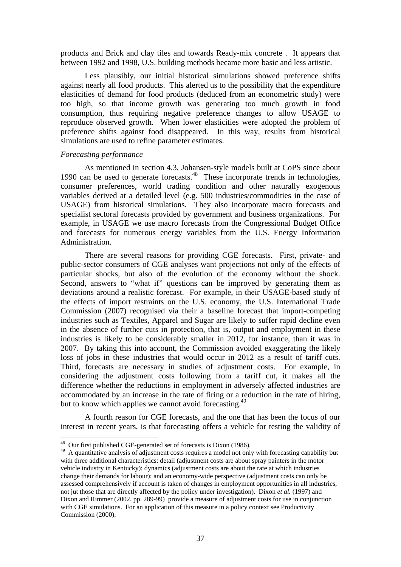products and Brick and clay tiles and towards Ready-mix concrete . It appears that between 1992 and 1998, U.S. building methods became more basic and less artistic.

 Less plausibly, our initial historical simulations showed preference shifts against nearly all food products. This alerted us to the possibility that the expenditure elasticities of demand for food products (deduced from an econometric study) were too high, so that income growth was generating too much growth in food consumption, thus requiring negative preference changes to allow USAGE to reproduce observed growth. When lower elasticities were adopted the problem of preference shifts against food disappeared. In this way, results from historical simulations are used to refine parameter estimates.

#### *Forecasting performance*

 As mentioned in section 4.3, Johansen-style models built at CoPS since about As mentioned in section  $-1.5$ , somewhalf  $5.5$ ,  $-1.5$ ,  $-1.5$ ,  $-1.5$ ,  $-1.5$ ,  $-1.5$ ,  $-1.5$ ,  $-1.5$ ,  $-1.5$ ,  $-1.5$ ,  $-1.5$ ,  $-1.5$ ,  $-1.5$ ,  $-1.5$ ,  $-1.5$ ,  $-1.5$ ,  $-1.5$ ,  $-1.5$ ,  $-1.5$ ,  $-1.5$ ,  $-1.5$ ,  $-1.5$ ,  $-1.5$ consumer preferences, world trading condition and other naturally exogenous variables derived at a detailed level (e.g. 500 industries/commodities in the case of USAGE) from historical simulations. They also incorporate macro forecasts and specialist sectoral forecasts provided by government and business organizations. For example, in USAGE we use macro forecasts from the Congressional Budget Office and forecasts for numerous energy variables from the U.S. Energy Information Administration.

There are several reasons for providing CGE forecasts. First, private- and public-sector consumers of CGE analyses want projections not only of the effects of particular shocks, but also of the evolution of the economy without the shock. Second, answers to "what if" questions can be improved by generating them as deviations around a realistic forecast. For example, in their USAGE-based study of the effects of import restraints on the U.S. economy, the U.S. International Trade Commission (2007) recognised via their a baseline forecast that import-competing industries such as Textiles, Apparel and Sugar are likely to suffer rapid decline even in the absence of further cuts in protection, that is, output and employment in these industries is likely to be considerably smaller in 2012, for instance, than it was in 2007. By taking this into account, the Commission avoided exaggerating the likely loss of jobs in these industries that would occur in 2012 as a result of tariff cuts. Third, forecasts are necessary in studies of adjustment costs. For example, in considering the adjustment costs following from a tariff cut, it makes all the difference whether the reductions in employment in adversely affected industries are accommodated by an increase in the rate of firing or a reduction in the rate of hiring, but to know which applies we cannot avoid forecasting.<sup>49</sup>

A fourth reason for CGE forecasts, and the one that has been the focus of our interest in recent years, is that forecasting offers a vehicle for testing the validity of

<sup>48</sup> Our first published CGE-generated set of forecasts is Dixon (1986).

<sup>&</sup>lt;sup>49</sup> A quantitative analysis of adjustment costs requires a model not only with forecasting capability but with three additional characteristics: detail (adjustment costs are about spray painters in the motor vehicle industry in Kentucky); dynamics (adjustment costs are about the rate at which industries change their demands for labour); and an economy-wide perspective (adjustment costs can only be assessed comprehensively if account is taken of changes in employment opportunities in all industries, not jut those that are directly affected by the policy under investigation). Dixon *et al.* (1997) and Dixon and Rimmer (2002, pp. 289-99) provide a measure of adjustment costs for use in conjunction with CGE simulations. For an application of this measure in a policy context see Productivity Commission (2000).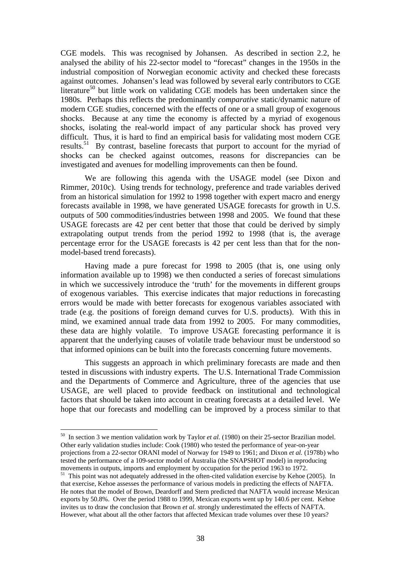CGE models. This was recognised by Johansen. As described in section 2.2, he analysed the ability of his 22-sector model to "forecast" changes in the 1950s in the industrial composition of Norwegian economic activity and checked these forecasts against outcomes. Johansen's lead was followed by several early contributors to CGE literature<sup>50</sup> but little work on validating CGE models has been undertaken since the 1980s. Perhaps this reflects the predominantly *comparative* static/dynamic nature of modern CGE studies, concerned with the effects of one or a small group of exogenous shocks. Because at any time the economy is affected by a myriad of exogenous shocks, isolating the real-world impact of any particular shock has proved very difficult. Thus, it is hard to find an empirical basis for validating most modern CGE results.<sup>51</sup> By contrast, baseline forecasts that purport to account for the myriad of shocks can be checked against outcomes, reasons for discrepancies can be investigated and avenues for modelling improvements can then be found.

We are following this agenda with the USAGE model (see Dixon and Rimmer, 2010c). Using trends for technology, preference and trade variables derived from an historical simulation for 1992 to 1998 together with expert macro and energy forecasts available in 1998, we have generated USAGE forecasts for growth in U.S. outputs of 500 commodities/industries between 1998 and 2005. We found that these USAGE forecasts are 42 per cent better that those that could be derived by simply extrapolating output trends from the period 1992 to 1998 (that is, the average percentage error for the USAGE forecasts is 42 per cent less than that for the nonmodel-based trend forecasts).

Having made a pure forecast for 1998 to 2005 (that is, one using only information available up to 1998) we then conducted a series of forecast simulations in which we successively introduce the 'truth' for the movements in different groups of exogenous variables. This exercise indicates that major reductions in forecasting errors would be made with better forecasts for exogenous variables associated with trade (e.g. the positions of foreign demand curves for U.S. products). With this in mind, we examined annual trade data from 1992 to 2005. For many commodities, these data are highly volatile. To improve USAGE forecasting performance it is apparent that the underlying causes of volatile trade behaviour must be understood so that informed opinions can be built into the forecasts concerning future movements.

This suggests an approach in which preliminary forecasts are made and then tested in discussions with industry experts. The U.S. International Trade Commission and the Departments of Commerce and Agriculture, three of the agencies that use USAGE, are well placed to provide feedback on institutional and technological factors that should be taken into account in creating forecasts at a detailed level. We hope that our forecasts and modelling can be improved by a process similar to that

<u>.</u>

<sup>50</sup> In section 3 we mention validation work by Taylor *et al.* (1980) on their 25-sector Brazilian model. Other early validation studies include: Cook (1980) who tested the performance of year-on-year projections from a 22-sector ORANI model of Norway for 1949 to 1961; and Dixon *et al.* (1978b) who tested the performance of a 109-sector model of Australia (the SNAPSHOT model) in reproducing movements in outputs, imports and employment by occupation for the period 1963 to 1972.

<sup>&</sup>lt;sup>51</sup> This point was not adequately addressed in the often-cited validation exercise by Kehoe (2005). In that exercise, Kehoe assesses the performance of various models in predicting the effects of NAFTA. He notes that the model of Brown, Deardorff and Stern predicted that NAFTA would increase Mexican exports by 50.8%. Over the period 1988 to 1999, Mexican exports went up by 140.6 per cent. Kehoe invites us to draw the conclusion that Brown *et al*. strongly underestimated the effects of NAFTA. However, what about all the other factors that affected Mexican trade volumes over these 10 years?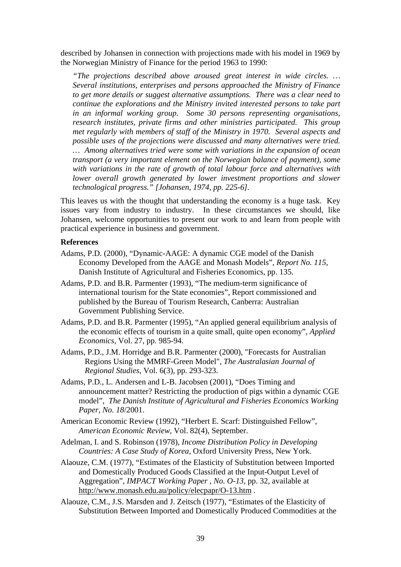described by Johansen in connection with projections made with his model in 1969 by the Norwegian Ministry of Finance for the period 1963 to 1990:

*"The projections described above aroused great interest in wide circles. … Several institutions, enterprises and persons approached the Ministry of Finance to get more details or suggest alternative assumptions. There was a clear need to continue the explorations and the Ministry invited interested persons to take part in an informal working group. Some 30 persons representing organisations, research institutes, private firms and other ministries participated. This group met regularly with members of staff of the Ministry in 1970. Several aspects and possible uses of the projections were discussed and many alternatives were tried. … Among alternatives tried were some with variations in the expansion of ocean transport (a very important element on the Norwegian balance of payment), some with variations in the rate of growth of total labour force and alternatives with lower overall growth generated by lower investment proportions and slower technological progress." [Johansen, 1974, pp. 225-6].* 

This leaves us with the thought that understanding the economy is a huge task. Key issues vary from industry to industry. In these circumstances we should, like Johansen, welcome opportunities to present our work to and learn from people with practical experience in business and government.

#### **References**

- Adams, P.D. (2000), "Dynamic-AAGE: A dynamic CGE model of the Danish Economy Developed from the AAGE and Monash Models", *Report No. 115*, Danish Institute of Agricultural and Fisheries Economics, pp. 135.
- Adams, P.D. and B.R. Parmenter (1993), "The medium-term significance of international tourism for the State economies", Report commissioned and published by the Bureau of Tourism Research, Canberra: Australian Government Publishing Service.
- Adams, P.D. and B.R. Parmenter (1995), "An applied general equilibrium analysis of the economic effects of tourism in a quite small, quite open economy", *Applied Economics*, Vol. 27, pp. 985-94.
- Adams, P.D., J.M. Horridge and B.R. Parmenter (2000), "Forecasts for Australian Regions Using the MMRF-Green Model", *The Australasian Journal of Regional Studies*, Vol. 6(3), pp. 293-323.
- Adams, P.D., L. Andersen and L-B. Jacobsen (2001), "Does Timing and announcement matter? Restricting the production of pigs within a dynamic CGE model", *The Danish Institute of Agricultural and Fisheries Economics Working Paper*, *No. 18*/2001.
- American Economic Review (1992), "Herbert E. Scarf: Distinguished Fellow", *American Economic Review*, Vol. 82(4), September.
- Adelman, I. and S. Robinson (1978), *Income Distribution Policy in Developing Countries: A Case Study of Korea,* Oxford University Press, New York.
- Alaouze, C.M. (1977), "Estimates of the Elasticity of Substitution between Imported and Domestically Produced Goods Classified at the Input-Output Level of Aggregation", *IMPACT Working Paper , No. O-13*, pp. 32, available at http://www.monash.edu.au/policy/elecpapr/O-13.htm .
- Alaouze, C.M., J.S. Marsden and J. Zeitsch (1977), "Estimates of the Elasticity of Substitution Between Imported and Domestically Produced Commodities at the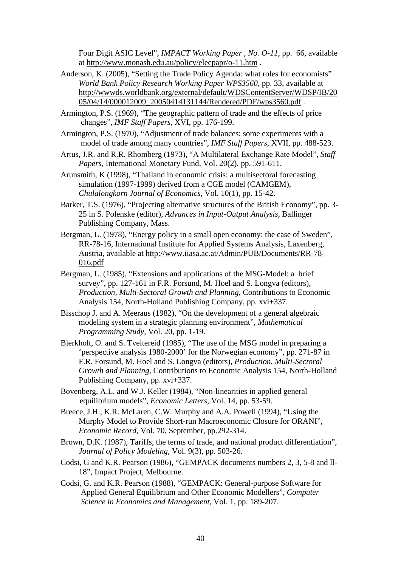Four Digit ASIC Level", *IMPACT Working Paper , No. O-11*, pp. 66, available at http://www.monash.edu.au/policy/elecpapr/o-11.htm .

- Anderson, K. (2005), "Setting the Trade Policy Agenda: what roles for economists" *World Bank Policy Research Working Paper WPS3560*, pp. 33, available at http://wwwds.worldbank.org/external/default/WDSContentServer/WDSP/IB/20 05/04/14/000012009\_20050414131144/Rendered/PDF/wps3560.pdf .
- Armington, P.S. (1969), "The geographic pattern of trade and the effects of price changes", *IMF Staff Papers*, XVI, pp. 176-199.
- Armington, P.S. (1970), "Adjustment of trade balances: some experiments with a model of trade among many countries", *IMF Staff Papers*, XVII, pp. 488-523.
- Artus, J.R. and R.R. Rhomberg (1973), "A Multilateral Exchange Rate Model", *Staff Papers*, International Monetary Fund, Vol. 20(2), pp. 591-611.
- Arunsmith, K (1998), "Thailand in economic crisis: a multisectoral forecasting simulation (1997-1999) derived from a CGE model (CAMGEM), *Chulalongkorn Journal of Economics,* Vol. 10(1), pp. 15-42.
- Barker, T.S. (1976), "Projecting alternative structures of the British Economy", pp. 3- 25 in S. Polenske (editor), *Advances in Input-Output Analysis*, Ballinger Publishing Company, Mass.
- Bergman, L. (1978), "Energy policy in a small open economy: the case of Sweden", RR-78-16, International Institute for Applied Systems Analysis, Laxenberg, Austria, available at http://www.iiasa.ac.at/Admin/PUB/Documents/RR-78- 016.pdf
- Bergman, L. (1985), "Extensions and applications of the MSG-Model: a brief survey", pp. 127-161 in F.R. Forsund, M. Hoel and S. Longva (editors), *Production, Multi-Sectoral Growth and Planning*, Contributions to Economic Analysis 154, North-Holland Publishing Company, pp. xvi+337.
- Bisschop J. and A. Meeraus (1982), "On the development of a general algebraic modeling system in a strategic planning environment", *Mathematical Programming Study*, Vol. 20, pp. 1-19.
- Bjerkholt, O. and S. Tveitereid (1985), "The use of the MSG model in preparing a 'perspective analysis 1980-2000' for the Norwegian economy", pp. 271-87 in F.R. Forsund, M. Hoel and S. Longva (editors), *Production, Multi-Sectoral Growth and Planning*, Contributions to Economic Analysis 154, North-Holland Publishing Company, pp. xvi+337.
- Bovenberg, A.L. and W.J. Keller (1984), "Non-linearities in applied general equilibrium models", *Economic Letters,* Vol. 14, pp. 53-59.
- Breece, J.H., K.R. McLaren, C.W. Murphy and A.A. Powell (1994), "Using the Murphy Model to Provide Short-run Macroeconomic Closure for ORANI", *Economic Record,* Vol. 70, September, pp.292-314.
- Brown, D.K. (1987), Tariffs, the terms of trade, and national product differentiation", *Journal of Policy Modeling*, Vol. 9(3), pp. 503-26.
- Codsi, G and K.R. Pearson (1986), "GEMPACK documents numbers 2, 3, 5-8 and ll-18", Impact Project, Melbourne.
- Codsi, G. and K.R. Pearson (1988), "GEMPACK: General-purpose Software for Applied General Equilibrium and Other Economic Modellers", *Computer Science in Economics and Management,* Vol. 1, pp. 189-207.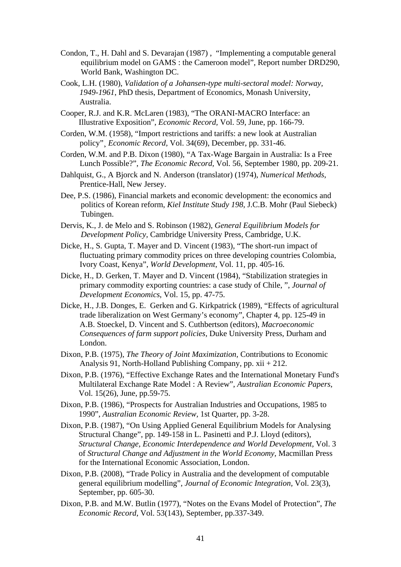- Condon, T., H. Dahl and S. Devarajan (1987) , "Implementing a computable general equilibrium model on GAMS : the Cameroon model", Report number DRD290, World Bank, Washington DC.
- Cook, L.H. (1980), *Validation of a Johansen-type multi-sectoral model: Norway, 1949-1961*, PhD thesis, Department of Economics, Monash University, Australia.
- Cooper, R.J. and K.R. McLaren (1983), "The ORANI-MACRO Interface: an Illustrative Exposition", *Economic Record,* Vol. 59, June, pp. 166-79.
- Corden, W.M. (1958), "Import restrictions and tariffs: a new look at Australian policy"¸ *Economic Record,* Vol. 34(69), December, pp. 331-46.
- Corden, W.M. and P.B. Dixon (1980), "A Tax-Wage Bargain in Australia: Is a Free Lunch Possible?", *The Economic Record,* Vol. 56, September 1980, pp. 209-21.
- Dahlquist, G., A Bjorck and N. Anderson (translator) (1974), *Numerical Methods*, Prentice-Hall, New Jersey.
- Dee, P.S. (1986), Financial markets and economic development: the economics and politics of Korean reform, *Kiel Institute Study 198*, J.C.B. Mohr (Paul Siebeck) Tubingen.
- Dervis, K., J. de Melo and S. Robinson (1982), *General Equilibrium Models for Development Policy,* Cambridge University Press, Cambridge, U.K.
- Dicke, H., S. Gupta, T. Mayer and D. Vincent (1983), "The short-run impact of fluctuating primary commodity prices on three developing countries Colombia, Ivory Coast, Kenya", *World Development*, Vol. 11, pp. 405-16.
- Dicke, H., D. Gerken, T. Mayer and D. Vincent (1984), "Stabilization strategies in primary commodity exporting countries: a case study of Chile, ", *Journal of Development Economics*, Vol. 15, pp. 47-75.
- Dicke, H., J.B. Donges, E. Gerken and G. Kirkpatrick (1989), "Effects of agricultural trade liberalization on West Germany's economy", Chapter 4, pp. 125-49 in A.B. Stoeckel, D. Vincent and S. Cuthbertson (editors), *Macroeconomic Consequences of farm support policies*, Duke University Press, Durham and London.
- Dixon, P.B. (1975), *The Theory of Joint Maximization,* Contributions to Economic Analysis 91, North-Holland Publishing Company, pp. xii + 212.
- Dixon, P.B. (1976), "Effective Exchange Rates and the International Monetary Fund's Multilateral Exchange Rate Model : A Review", *Australian Economic Papers*, Vol. 15(26), June, pp.59-75.
- Dixon, P.B. (1986), "Prospects for Australian Industries and Occupations, 1985 to 1990", *Australian Economic Review,* 1st Quarter, pp. 3-28.
- Dixon, P.B. (1987), "On Using Applied General Equilibrium Models for Analysing Structural Change", pp. 149-158 in L. Pasinetti and P.J. Lloyd (editors), *Structural Change, Economic Interdependence and World Development,* Vol. 3 of *Structural Change and Adjustment in the World Economy,* Macmillan Press for the International Economic Association, London.
- Dixon, P.B. (2008), "Trade Policy in Australia and the development of computable general equilibrium modelling", *Journal of Economic Integration,* Vol. 23(3), September, pp. 605-30.
- Dixon, P.B. and M.W. Butlin (1977), "Notes on the Evans Model of Protection", *The Economic Record*, Vol. 53(143), September, pp.337-349.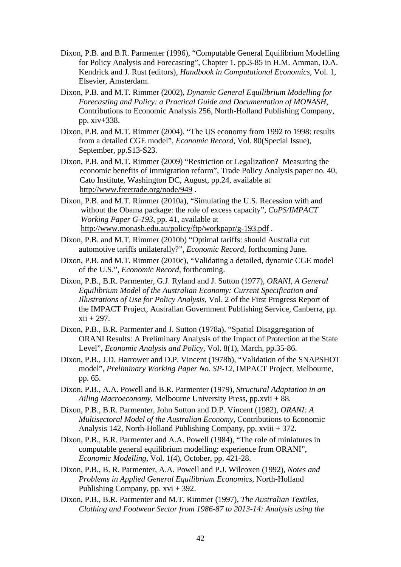- Dixon, P.B. and B.R. Parmenter (1996), "Computable General Equilibrium Modelling for Policy Analysis and Forecasting", Chapter 1, pp.3-85 in H.M. Amman, D.A. Kendrick and J. Rust (editors), *Handbook in Computational Economics*, Vol. 1, Elsevier, Amsterdam.
- Dixon, P.B. and M.T. Rimmer (2002), *Dynamic General Equilibrium Modelling for Forecasting and Policy: a Practical Guide and Documentation of MONASH,*  Contributions to Economic Analysis 256, North-Holland Publishing Company, pp. xiv+338.
- Dixon, P.B. and M.T. Rimmer (2004), "The US economy from 1992 to 1998: results from a detailed CGE model", *Economic Record*, Vol. 80(Special Issue), September, pp.S13-S23.
- Dixon, P.B. and M.T. Rimmer (2009) "Restriction or Legalization? Measuring the economic benefits of immigration reform", Trade Policy Analysis paper no. 40, Cato Institute, Washington DC, August, pp.24, available at http://www.freetrade.org/node/949 .
- Dixon, P.B. and M.T. Rimmer (2010a), "Simulating the U.S. Recession with and without the Obama package: the role of excess capacity", *CoPS/IMPACT Working Paper G-193*, pp. 41, available at http://www.monash.edu.au/policy/ftp/workpapr/g-193.pdf .
- Dixon, P.B. and M.T. Rimmer (2010b) "Optimal tariffs: should Australia cut automotive tariffs unilaterally?", *Economic Record,* forthcoming June.
- Dixon, P.B. and M.T. Rimmer (2010c), "Validating a detailed, dynamic CGE model of the U.S.", *Economic Record,* forthcoming.
- Dixon, P.B., B.R. Parmenter, G.J. Ryland and J. Sutton (1977), *ORANI, A General Equilibrium Model of the Australian Economy: Current Specification and Illustrations of Use for Policy Analysis,* Vol. 2 of the First Progress Report of the IMPACT Project, Australian Government Publishing Service, Canberra, pp.  $xii + 297.$
- Dixon, P.B., B.R. Parmenter and J. Sutton (1978a), "Spatial Disaggregation of ORANI Results: A Preliminary Analysis of the Impact of Protection at the State Level", *Economic Analysis and Policy,* Vol. 8(1), March, pp.35-86.
- Dixon, P.B., J.D. Harrower and D.P. Vincent (1978b), "Validation of the SNAPSHOT model", *Preliminary Working Paper No. SP-12*, IMPACT Project, Melbourne, pp. 65.
- Dixon, P.B., A.A. Powell and B.R. Parmenter (1979), *Structural Adaptation in an Ailing Macroeconomy*, Melbourne University Press, pp.xvii + 88.
- Dixon, P.B., B.R. Parmenter, John Sutton and D.P. Vincent (1982), *ORANI: A Multisectoral Model of the Australian Economy*, Contributions to Economic Analysis 142, North-Holland Publishing Company, pp. xviii + 372.
- Dixon, P.B., B.R. Parmenter and A.A. Powell (1984), "The role of miniatures in computable general equilibrium modelling: experience from ORANI", *Economic Modelling*, Vol. 1(4), October, pp. 421-28.
- Dixon, P.B., B. R. Parmenter, A.A. Powell and P.J. Wilcoxen (1992), *Notes and Problems in Applied General Equilibrium Economics*, North-Holland Publishing Company, pp. xvi + 392.
- Dixon, P.B., B.R. Parmenter and M.T. Rimmer (1997), *The Australian Textiles, Clothing and Footwear Sector from 1986-87 to 2013-14: Analysis using the*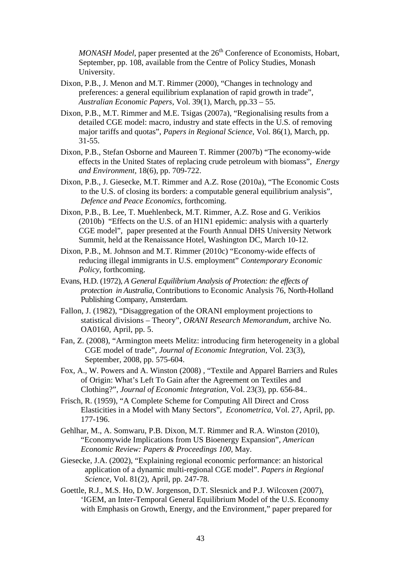*MONASH Model*, paper presented at the 26<sup>th</sup> Conference of Economists, Hobart, September, pp. 108, available from the Centre of Policy Studies, Monash University.

- Dixon, P.B., J. Menon and M.T. Rimmer (2000), "Changes in technology and preferences: a general equilibrium explanation of rapid growth in trade", *Australian Economic Papers*, Vol. 39(1), March, pp.33 – 55.
- Dixon, P.B., M.T. Rimmer and M.E. Tsigas (2007a), "Regionalising results from a detailed CGE model: macro, industry and state effects in the U.S. of removing major tariffs and quotas", *Papers in Regional Science*, Vol. 86(1), March, pp. 31-55.
- Dixon, P.B., Stefan Osborne and Maureen T. Rimmer (2007b) "The economy-wide effects in the United States of replacing crude petroleum with biomass", *Energy and Environment,* 18(6), pp. 709-722.
- Dixon, P.B., J. Giesecke, M.T. Rimmer and A.Z. Rose (2010a), "The Economic Costs to the U.S. of closing its borders: a computable general equilibrium analysis", *Defence and Peace Economics*, forthcoming.
- Dixon, P.B., B. Lee, T. Muehlenbeck, M.T. Rimmer, A.Z. Rose and G. Verikios (2010b) "Effects on the U.S. of an H1N1 epidemic: analysis with a quarterly CGE model", paper presented at the Fourth Annual DHS University Network Summit, held at the Renaissance Hotel, Washington DC, March 10-12.
- Dixon, P.B., M. Johnson and M.T. Rimmer (2010c) "Economy-wide effects of reducing illegal immigrants in U.S. employment" *Contemporary Economic Policy*, forthcoming.
- Evans, H.D. (1972), *A General Equilibrium Analysis of Protection: the effects of protection in Australia*, Contributions to Economic Analysis 76, North-Holland Publishing Company, Amsterdam.
- Fallon, J. (1982), "Disaggregation of the ORANI employment projections to statistical divisions – Theory", *ORANI Research Memorandum*, archive No. OA0160, April, pp. 5.
- Fan, Z. (2008), "Armington meets Melitz: introducing firm heterogeneity in a global CGE model of trade", *Journal of Economic Integration,* Vol. 23(3), September, 2008, pp. 575-604.
- Fox, A., W. Powers and A. Winston (2008) *,* "Textile and Apparel Barriers and Rules of Origin: What's Left To Gain after the Agreement on Textiles and Clothing?", *Journal of Economic Integration*, Vol. 23(3), pp. 656-84..
- Frisch, R. (1959), "A Complete Scheme for Computing All Direct and Cross Elasticities in a Model with Many Sectors", *Econometrica,* Vol. 27, April, pp. 177-196.
- Gehlhar, M., A. Somwaru, P.B. Dixon, M.T. Rimmer and R.A. Winston (2010), "Economywide Implications from US Bioenergy Expansion", *American Economic Review: Papers & Proceedings 100,* May.
- Giesecke, J.A. (2002), "Explaining regional economic performance: an historical application of a dynamic multi-regional CGE model". *Papers in Regional Science*, Vol. 81(2), April, pp. 247-78.
- Goettle, R.J., M.S. Ho, D.W. Jorgenson, D.T. Slesnick and P.J. Wilcoxen (2007), 'IGEM, an Inter-Temporal General Equilibrium Model of the U.S. Economy with Emphasis on Growth, Energy, and the Environment," paper prepared for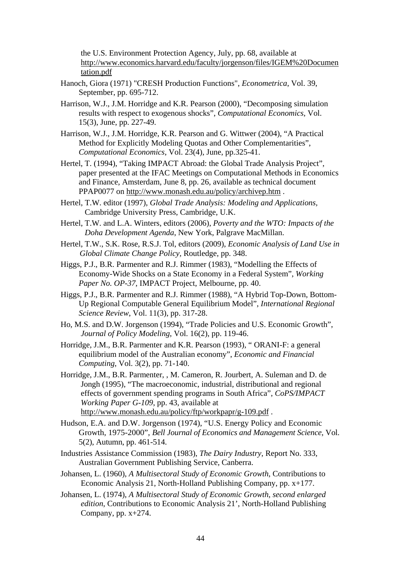the U.S. Environment Protection Agency, July, pp. 68, available at http://www.economics.harvard.edu/faculty/jorgenson/files/IGEM%20Documen tation.pdf

- Hanoch, Giora (1971) "CRESH Production Functions", *Econometrica*, Vol. 39, September, pp. 695-712.
- Harrison, W.J., J.M. Horridge and K.R. Pearson (2000), "Decomposing simulation results with respect to exogenous shocks", *Computational Economics*, Vol. 15(3), June, pp. 227-49.
- Harrison, W.J., J.M. Horridge, K.R. Pearson and G. Wittwer (2004), "A Practical Method for Explicitly Modeling Quotas and Other Complementarities", *Computational Economics*, Vol. 23(4), June, pp.325-41.
- Hertel, T. (1994), "Taking IMPACT Abroad: the Global Trade Analysis Project", paper presented at the IFAC Meetings on Computational Methods in Economics and Finance, Amsterdam, June 8, pp. 26, available as technical document PPAP0077 on http://www.monash.edu.au/policy/archivep.htm .
- Hertel, T.W. editor (1997), *Global Trade Analysis: Modeling and Applications,*  Cambridge University Press, Cambridge, U.K.
- Hertel, T.W. and L.A. Winters, editors (2006), *Poverty and the WTO: Impacts of the Doha Development Agenda*, New York, Palgrave MacMillan.
- Hertel, T.W., S.K. Rose, R.S.J. Tol, editors (2009), *Economic Analysis of Land Use in Global Climate Change Policy,* Routledge, pp. 348.
- Higgs, P.J., B.R. Parmenter and R.J. Rimmer (1983), "Modelling the Effects of Economy-Wide Shocks on a State Economy in a Federal System", *Working Paper No. OP-37*, IMPACT Project, Melbourne, pp. 40.
- Higgs, P.J., B.R. Parmenter and R.J. Rimmer (1988), "A Hybrid Top-Down, Bottom-Up Regional Computable General Equilibrium Model", *International Regional Science Review*, Vol. 11(3), pp. 317-28.
- Ho, M.S. and D.W. Jorgenson (1994), "Trade Policies and U.S. Economic Growth", *Journal of Policy Modeling*, Vol. 16(2), pp. 119-46.
- Horridge, J.M., B.R. Parmenter and K.R. Pearson (1993), " ORANI-F: a general equilibrium model of the Australian economy", *Economic and Financial Computing*, Vol. 3(2), pp. 71-140.
- Horridge, J.M., B.R. Parmenter, , M. Cameron, R. Jourbert, A. Suleman and D. de Jongh (1995), "The macroeconomic, industrial, distributional and regional effects of government spending programs in South Africa", *CoPS/IMPACT Working Paper G-109*, pp. 43, available at http://www.monash.edu.au/policy/ftp/workpapr/g-109.pdf .
- Hudson, E.A. and D.W. Jorgenson (1974), "U.S. Energy Policy and Economic Growth, 1975-2000", *Bell Journal of Economics and Management Science*, Vol. 5(2), Autumn, pp. 461-514.
- Industries Assistance Commission (1983), *The Dairy Industry*, Report No. 333, Australian Government Publishing Service, Canberra.
- Johansen, L. (1960), *A Multisectoral Study of Economic Growth*, Contributions to Economic Analysis 21, North-Holland Publishing Company, pp. x+177.
- Johansen, L. (1974), *A Multisectoral Study of Economic Growth*, *second enlarged edition*, Contributions to Economic Analysis 21', North-Holland Publishing Company, pp. x+274.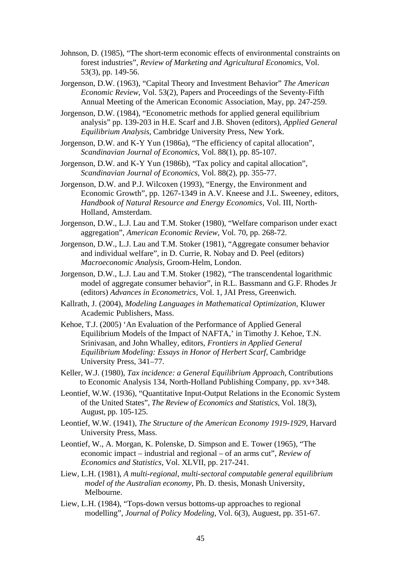- Johnson, D. (1985), "The short-term economic effects of environmental constraints on forest industries", *Review of Marketing and Agricultural Economics*, Vol. 53(3), pp. 149-56.
- Jorgenson, D.W. (1963), "Capital Theory and Investment Behavior" *The American Economic Review*, Vol. 53(2), Papers and Proceedings of the Seventy-Fifth Annual Meeting of the American Economic Association, May, pp. 247-259.
- Jorgenson, D.W. (1984), "Econometric methods for applied general equilibrium analysis" pp. 139-203 in H.E. Scarf and J.B. Shoven (editors), *Applied General Equilibrium Analysis*, Cambridge University Press, New York.
- Jorgenson, D.W. and K-Y Yun (1986a), "The efficiency of capital allocation", *Scandinavian Journal of Economics*, Vol. 88(1), pp. 85-107.
- Jorgenson, D.W. and K-Y Yun (1986b), "Tax policy and capital allocation", *Scandinavian Journal of Economics*, Vol. 88(2), pp. 355-77.
- Jorgenson, D.W. and P.J. Wilcoxen (1993), "Energy, the Environment and Economic Growth", pp. 1267-1349 in A.V. Kneese and J.L. Sweeney, editors, *Handbook of Natural Resource and Energy Economics*, Vol. III, North-Holland, Amsterdam.
- Jorgenson, D.W., L.J. Lau and T.M. Stoker (1980), "Welfare comparison under exact aggregation", *American Economic Review*, Vol. 70, pp. 268-72.
- Jorgenson, D.W., L.J. Lau and T.M. Stoker (1981), "Aggregate consumer behavior and individual welfare", in D. Currie, R. Nobay and D. Peel (editors) *Macroeconomic Analysis*, Groom-Helm, London.
- Jorgenson, D.W., L.J. Lau and T.M. Stoker (1982), "The transcendental logarithmic model of aggregate consumer behavior", in R.L. Bassmann and G.F. Rhodes Jr (editors) *Advances in Econometrics,* Vol. 1, JAI Press, Greenwich.
- Kallrath, J. (2004), *Modeling Languages in Mathematical Optimization*, Kluwer Academic Publishers, Mass.
- Kehoe, T.J. (2005) 'An Evaluation of the Performance of Applied General Equilibrium Models of the Impact of NAFTA,' in Timothy J. Kehoe, T.N. Srinivasan, and John Whalley, editors, *Frontiers in Applied General Equilibrium Modeling: Essays in Honor of Herbert Scarf*, Cambridge University Press, 341–77.
- Keller, W.J. (1980), *Tax incidence: a General Equilibrium Approach*, Contributions to Economic Analysis 134, North-Holland Publishing Company, pp. xv+348.
- Leontief, W.W. (1936), "Quantitative Input-Output Relations in the Economic System of the United States", *The Review of Economics and Statistics*, Vol. 18(3), August, pp. 105-125.
- Leontief, W.W. (1941), *The Structure of the American Economy 1919-1929,* Harvard University Press, Mass.
- Leontief, W., A. Morgan, K. Polenske, D. Simpson and E. Tower (1965), "The economic impact – industrial and regional – of an arms cut", *Review of Economics and Statistics*, Vol. XLVII, pp. 217-241.
- Liew, L.H. (1981), *A multi-regional, multi-sectoral computable general equilibrium model of the Australian economy*, Ph. D. thesis, Monash University, Melbourne.
- Liew, L.H. (1984), "Tops-down versus bottoms-up approaches to regional modelling", *Journal of Policy Modeling*, Vol. 6(3), Auguest, pp. 351-67.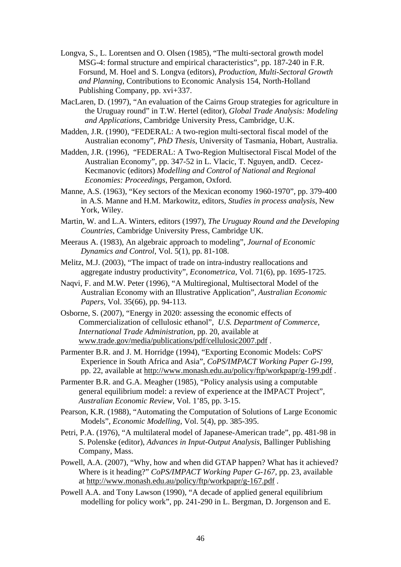- Longva, S., L. Lorentsen and O. Olsen (1985), "The multi-sectoral growth model MSG-4: formal structure and empirical characteristics", pp. 187-240 in F.R. Forsund, M. Hoel and S. Longva (editors), *Production, Multi-Sectoral Growth and Planning*, Contributions to Economic Analysis 154, North-Holland Publishing Company, pp. xvi+337.
- MacLaren, D. (1997), "An evaluation of the Cairns Group strategies for agriculture in the Uruguay round" in T.W. Hertel (editor), *Global Trade Analysis: Modeling and Applications,* Cambridge University Press, Cambridge, U.K.
- Madden, J.R. (1990), "FEDERAL: A two-region multi-sectoral fiscal model of the Australian economy", *PhD Thesis*, University of Tasmania, Hobart, Australia.
- Madden, J.R. (1996), "FEDERAL: A Two-Region Multisectoral Fiscal Model of the Australian Economy", pp. 347-52 in L. Vlacic, T. Nguyen, andD. Cecez-Kecmanovic (editors) *Modelling and Control of National and Regional Economies: Proceedings*, Pergamon, Oxford.
- Manne, A.S. (1963), "Key sectors of the Mexican economy 1960-1970", pp. 379-400 in A.S. Manne and H.M. Markowitz, editors, *Studies in process analysis,* New York, Wiley.
- Martin, W. and L.A. Winters, editors (1997), *The Uruguay Round and the Developing Countries*, Cambridge University Press, Cambridge UK.
- Meeraus A. (1983), An algebraic approach to modeling", *Journal of Economic Dynamics and Control*, Vol. 5(1), pp. 81-108.
- Melitz, M.J. (2003), "The impact of trade on intra-industry reallocations and aggregate industry productivity", *Econometrica*, Vol. 71(6), pp. 1695-1725.
- Naqvi, F. and M.W. Peter (1996), "A Multiregional, Multisectoral Model of the Australian Economy with an Illustrative Application", *Australian Economic Papers*, Vol. 35(66), pp. 94-113.
- Osborne, S. (2007), "Energy in 2020: assessing the economic effects of Commercialization of cellulosic ethanol", *U.S. Department of Commerce, International Trade Administration*, pp. 20, available at www.trade.gov/media/publications/pdf/cellulosic2007.pdf .
- Parmenter B.R. and J. M. Horridge (1994), "Exporting Economic Models: CoPS' Experience in South Africa and Asia", *CoPS/IMPACT Working Paper G-199*, pp. 22, available at http://www.monash.edu.au/policy/ftp/workpapr/g-199.pdf .
- Parmenter B.R. and G.A. Meagher (1985), "Policy analysis using a computable general equilibrium model: a review of experience at the IMPACT Project", *Australian Economic Review*, Vol. 1'85, pp. 3-15.
- Pearson, K.R. (1988), "Automating the Computation of Solutions of Large Economic Models", *Economic Modelling*, Vol. 5(4), pp. 385-395.
- Petri, P.A. (1976), "A multilateral model of Japanese-American trade", pp. 481-98 in S. Polenske (editor), *Advances in Input-Output Analysis*, Ballinger Publishing Company, Mass.
- Powell, A.A. (2007), "Why, how and when did GTAP happen? What has it achieved? Where is it heading?" *CoPS/IMPACT Working Paper G-167*, pp. 23, available at http://www.monash.edu.au/policy/ftp/workpapr/g-167.pdf .
- Powell A.A. and Tony Lawson (1990), "A decade of applied general equilibrium modelling for policy work", pp. 241-290 in L. Bergman, D. Jorgenson and E.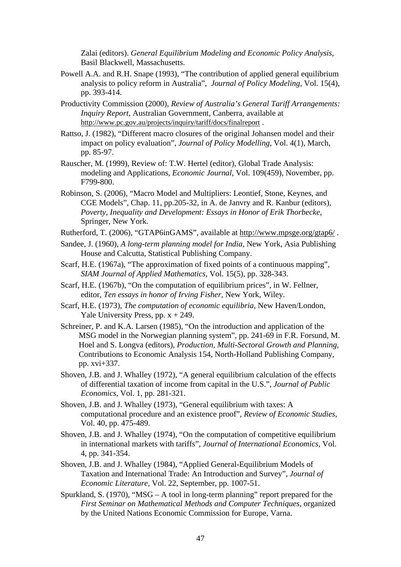Zalai (editors). *General Equilibrium Modeling and Economic Policy Analysis*, Basil Blackwell, Massachusetts.

- Powell A.A. and R.H. Snape (1993), "The contribution of applied general equilibrium analysis to policy reform in Australia", *Journal of Policy Modeling,* Vol. 15(4), pp. 393-414.
- Productivity Commission (2000), *Review of Australia's General Tariff Arrangements: Inquiry Report*, Australian Government, Canberra, available at http://www.pc.gov.au/projects/inquiry/tariff/docs/finalreport .
- Rattso, J. (1982), "Different macro closures of the original Johansen model and their impact on policy evaluation", *Journal of Policy Modelling*, Vol. 4(1), March, pp. 85-97.
- Rauscher, M. (1999), Review of: T.W. Hertel (editor), Global Trade Analysis: modeling and Applications, *Economic Journal*, Vol. 109(459), November, pp. F799-800.
- Robinson, S. (2006), "Macro Model and Multipliers: Leontief, Stone, Keynes, and CGE Models", Chap. 11, pp.205-32, in A. de Janvry and R. Kanbur (editors), *Poverty, Inequality and Development: Essays in Honor of Erik Thorbecke*, Springer, New York.
- Rutherford, T. (2006), "GTAP6inGAMS", available at http://www.mpsge.org/gtap6/ .
- Sandee, J. (1960), *A long-term planning model for India*, New York, Asia Publishing House and Calcutta, Statistical Publishing Company.
- Scarf, H.E. (1967a), "The approximation of fixed points of a continuous mapping", *SIAM Journal of Applied Mathematics,* Vol. 15(5), pp. 328-343.
- Scarf, H.E. (1967b), "On the computation of equilibrium prices", in W. Fellner, editor, *Ten essays in honor of Irving Fisher,* New York, Wiley.
- Scarf, H.E. (1973), *The computation of economic equilibria*, New Haven/London, Yale University Press, pp.  $x + 249$ .
- Schreiner, P. and K.A. Larsen (1985), "On the introduction and application of the MSG model in the Norwegian planning system", pp. 241-69 in F.R. Forsund, M. Hoel and S. Longva (editors), *Production, Multi-Sectoral Growth and Planning*, Contributions to Economic Analysis 154, North-Holland Publishing Company, pp. xvi+337.
- Shoven, J.B. and J. Whalley (1972), "A general equilibrium calculation of the effects of differential taxation of income from capital in the U.S.", *Journal of Public Economics*, Vol. 1, pp. 281-321.
- Shoven, J.B. and J. Whalley (1973), "General equilibrium with taxes: A computational procedure and an existence proof", *Review of Economic Studies*, Vol. 40, pp. 475-489.
- Shoven, J.B. and J. Whalley (1974), "On the computation of competitive equilibrium in international markets with tariffs", *Journal of International Economics*, Vol. 4, pp. 341-354.
- Shoven, J.B. and J. Whalley (1984), "Applied General-Equilibrium Models of Taxation and International Trade: An Introduction and Survey", *Journal of Economic Literature*, Vol. 22, September, pp. 1007-51.
- Spurkland, S. (1970), "MSG A tool in long-term planning" report prepared for the *First Seminar on Mathematical Methods and Computer Techniques*, organized by the United Nations Economic Commission for Europe, Varna.